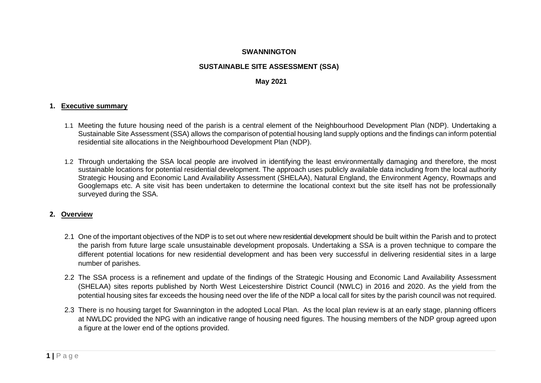### **SWANNINGTON**

# **SUSTAINABLE SITE ASSESSMENT (SSA)**

#### **May 2021**

#### **1. Executive summary**

- 1.1 Meeting the future housing need of the parish is a central element of the Neighbourhood Development Plan (NDP). Undertaking a Sustainable Site Assessment (SSA) allows the comparison of potential housing land supply options and the findings can inform potential residential site allocations in the Neighbourhood Development Plan (NDP).
- 1.2 Through undertaking the SSA local people are involved in identifying the least environmentally damaging and therefore, the most sustainable locations for potential residential development. The approach uses publicly available data including from the local authority Strategic Housing and Economic Land Availability Assessment (SHELAA), Natural England, the Environment Agency, Rowmaps and Googlemaps etc. A site visit has been undertaken to determine the locational context but the site itself has not be professionally surveyed during the SSA.

#### **2. Overview**

- 2.1 One of the important objectives of the NDP is to set out where new residential development should be built within the Parish and to protect the parish from future large scale unsustainable development proposals. Undertaking a SSA is a proven technique to compare the different potential locations for new residential development and has been very successful in delivering residential sites in a large number of parishes.
- 2.2 The SSA process is a refinement and update of the findings of the Strategic Housing and Economic Land Availability Assessment (SHELAA) sites reports published by North West Leicestershire District Council (NWLC) in 2016 and 2020. As the yield from the potential housing sites far exceeds the housing need over the life of the NDP a local call for sites by the parish council was not required.
- 2.3 There is no housing target for Swannington in the adopted Local Plan. As the local plan review is at an early stage, planning officers at NWLDC provided the NPG with an indicative range of housing need figures. The housing members of the NDP group agreed upon a figure at the lower end of the options provided.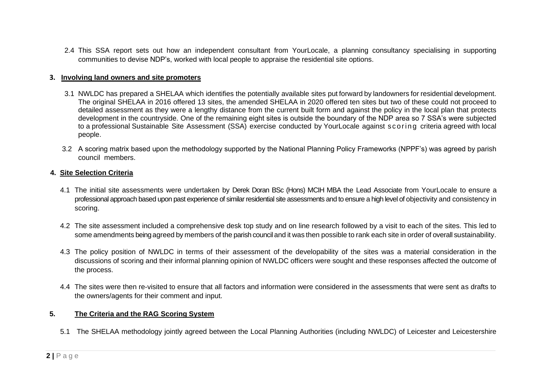2.4 This SSA report sets out how an independent consultant from YourLocale, a planning consultancy specialising in supporting communities to devise NDP's, worked with local people to appraise the residential site options.

#### **3. Involving land owners and site promoters**

- 3.1 NWLDC has prepared a SHELAA which identifies the potentially available sites put forward by landowners for residential development. The original SHELAA in 2016 offered 13 sites, the amended SHELAA in 2020 offered ten sites but two of these could not proceed to detailed assessment as they were a lengthy distance from the current built form and against the policy in the local plan that protects development in the countryside. One of the remaining eight sites is outside the boundary of the NDP area so 7 SSA's were subjected to a professional Sustainable Site Assessment (SSA) exercise conducted by YourLocale against scoring criteria agreed with local people.
- 3.2 A scoring matrix based upon the methodology supported by the National Planning Policy Frameworks (NPPF's) was agreed by parish council members.

#### **4. Site Selection Criteria**

- 4.1 The initial site assessments were undertaken by Derek Doran BSc (Hons) MCIH MBA the Lead Associate from YourLocale to ensure a professional approach based upon past experience of similar residential site assessments and to ensure a high level of objectivity and consistency in scoring.
- 4.2 The site assessment included a comprehensive desk top study and on line research followed by a visit to each of the sites. This led to some amendments being agreed by members of the parish council and it was then possible to rank each site in order of overall sustainability.
- 4.3 The policy position of NWLDC in terms of their assessment of the developability of the sites was a material consideration in the discussions of scoring and their informal planning opinion of NWLDC officers were sought and these responses affected the outcome of the process.
- 4.4 The sites were then re-visited to ensure that all factors and information were considered in the assessments that were sent as drafts to the owners/agents for their comment and input.

#### **5. The Criteria and the RAG Scoring System**

5.1 The SHELAA methodology jointly agreed between the Local Planning Authorities (including NWLDC) of Leicester and Leicestershire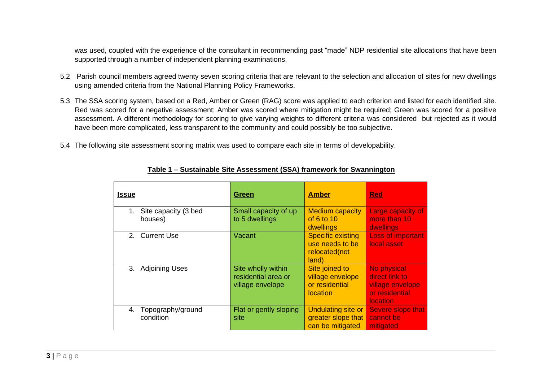was used, coupled with the experience of the consultant in recommending past "made" NDP residential site allocations that have been supported through a number of independent planning examinations.

- 5.2 Parish council members agreed twenty seven scoring criteria that are relevant to the selection and allocation of sites for new dwellings using amended criteria from the National Planning Policy Frameworks.
- 5.3 The SSA scoring system, based on a Red, Amber or Green (RAG) score was applied to each criterion and listed for each identified site. Red was scored for a negative assessment; Amber was scored where mitigation might be required; Green was scored for a positive assessment. A different methodology for scoring to give varying weights to different criteria was considered but rejected as it would have been more complicated, less transparent to the community and could possibly be too subjective.
- 5.4 The following site assessment scoring matrix was used to compare each site in terms of developability.

| <b>Issue</b>                          | <b>Green</b>                                                  | <b>Amber</b>                                                            | <b>Red</b>                                                                             |
|---------------------------------------|---------------------------------------------------------------|-------------------------------------------------------------------------|----------------------------------------------------------------------------------------|
| Site capacity (3 bed<br>1.<br>houses) | Small capacity of up<br>to 5 dwellings                        | <b>Medium capacity</b><br>of 6 to 10<br>dwellings                       | <b>Large capacity of</b><br>more than 10<br>dwellings                                  |
| 2. Current Use                        | Vacant                                                        | <b>Specific existing</b><br>use needs to be<br>relocated(not<br>land)   | <b>Loss of important</b><br>local asset                                                |
| 3. Adjoining Uses                     | Site wholly within<br>residential area or<br>village envelope | Site joined to<br>village envelope<br>or residential<br><b>location</b> | No physical<br>direct link to<br>village envelope<br>or residential<br><i>location</i> |
| Topography/ground<br>4.<br>condition  | Flat or gently sloping<br>site                                | <b>Undulating site or</b><br>greater slope that<br>can be mitigated     | Severe slope that<br>cannot be<br>mitigated                                            |

#### **Table 1 – Sustainable Site Assessment (SSA) framework for Swannington**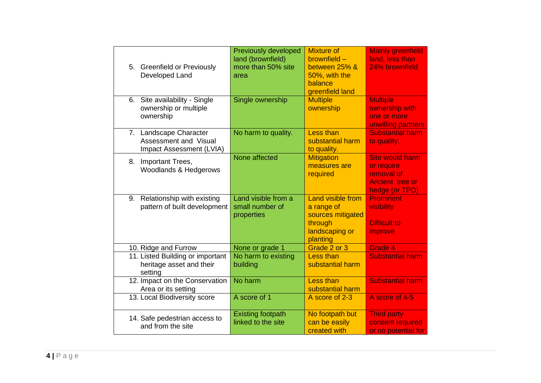| 5. Greenfield or Previously<br>Developed Land                               | <b>Previously developed</b><br>land (brownfield)<br>more than 50% site<br>area | <b>Mixture of</b><br>brownfield -<br>between 25% &<br>50%, with the<br>balance<br>greenfield land | <b>Mainly greenfield</b><br>land, less than<br>24% brownfield                                  |
|-----------------------------------------------------------------------------|--------------------------------------------------------------------------------|---------------------------------------------------------------------------------------------------|------------------------------------------------------------------------------------------------|
| Site availability - Single<br>6.<br>ownership or multiple<br>ownership      | Single ownership                                                               | <b>Multiple</b><br>ownership                                                                      | <b>Multiple</b><br>ownership with<br>one or more<br>unwilling partners                         |
| 7. Landscape Character<br>Assessment and Visual<br>Impact Assessment (LVIA) | No harm to quality.                                                            | <b>Less than</b><br>substantial harm<br>to quality.                                               | <b>Substantial harm</b><br>to quality.                                                         |
| Important Trees,<br>8.<br>Woodlands & Hedgerows                             | None affected                                                                  | <b>Mitigation</b><br>measures are<br>required                                                     | <b>Site would harm</b><br>or require<br>removal of<br><b>Ancient</b> tree or<br>hedge (or TPO) |
| 9. Relationship with existing<br>pattern of built development               | Land visible from a<br>small number of<br>properties                           | Land visible from<br>a range of<br>sources mitigated<br>through<br>landscaping or<br>planting     | <b>Prominent</b><br>visibility<br><b>Difficult to</b><br>improve                               |
| 10. Ridge and Furrow                                                        | None or grade 1                                                                | Grade 2 or 3                                                                                      | Grade 4                                                                                        |
| 11. Listed Building or important<br>heritage asset and their<br>setting     | No harm to existing<br>building                                                | <b>Less than</b><br>substantial harm                                                              | <b>Substantial harm</b>                                                                        |
| 12. Impact on the Conservation<br>Area or its setting                       | No harm                                                                        | <b>Less than</b><br>substantial harm                                                              | <b>Substantial harm</b>                                                                        |
| 13. Local Biodiversity score                                                | A score of 1                                                                   | A score of 2-3                                                                                    | A score of 4-5                                                                                 |
| 14. Safe pedestrian access to<br>and from the site                          | <b>Existing footpath</b><br>linked to the site                                 | No footpath but<br>can be easily<br>created with                                                  | <b>Third party</b><br>consent required<br>or no potential for                                  |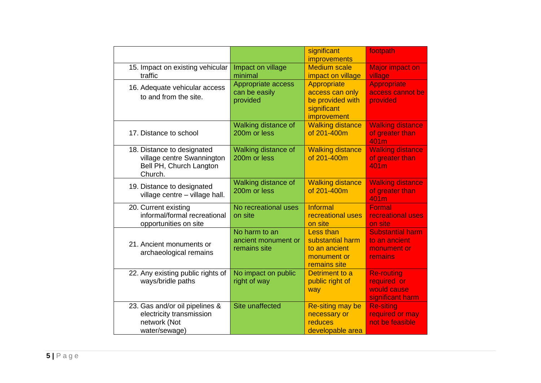|                                                                                                |                                                      | significant<br>improvements                                                          | footpath                                                            |
|------------------------------------------------------------------------------------------------|------------------------------------------------------|--------------------------------------------------------------------------------------|---------------------------------------------------------------------|
| 15. Impact on existing vehicular<br>traffic                                                    | Impact on village<br>minimal                         | <b>Medium scale</b><br>impact on village                                             | <b>Major impact on</b><br>village                                   |
| 16. Adequate vehicular access<br>to and from the site.                                         | Appropriate access<br>can be easily<br>provided      | Appropriate<br>access can only<br>be provided with<br>significant<br>improvement     | <b>Appropriate</b><br>access cannot be<br>provided                  |
| 17. Distance to school                                                                         | <b>Walking distance of</b><br>200m or less           | <b>Walking distance</b><br>of 201-400m                                               | <b>Walking distance</b><br>of greater than<br>401m                  |
| 18. Distance to designated<br>village centre Swannington<br>Bell PH, Church Langton<br>Church. | Walking distance of<br>200m or less                  | <b>Walking distance</b><br>of 201-400m                                               | <b>Walking distance</b><br>of greater than<br>401m                  |
| 19. Distance to designated<br>village centre - village hall.                                   | Walking distance of<br>200m or less                  | <b>Walking distance</b><br>of 201-400m                                               | <b>Walking distance</b><br>of greater than<br>401m                  |
| 20. Current existing<br>informal/formal recreational<br>opportunities on site                  | No recreational uses<br>on site                      | <b>Informal</b><br>recreational uses<br>on site                                      | <b>Formal</b><br>recreational uses<br>on site                       |
| 21. Ancient monuments or<br>archaeological remains                                             | No harm to an<br>ancient monument or<br>remains site | <b>Less than</b><br>substantial harm<br>to an ancient<br>monument or<br>remains site | <b>Substantial harm</b><br>to an ancient<br>monument or<br>remains  |
| 22. Any existing public rights of<br>ways/bridle paths                                         | No impact on public<br>right of way                  | Detriment to a<br>public right of<br>way                                             | <b>Re-routing</b><br>required or<br>would cause<br>significant harm |
| 23. Gas and/or oil pipelines &<br>electricity transmission<br>network (Not<br>water/sewage)    | Site unaffected                                      | Re-siting may be<br>necessary or<br>reduces<br>developable area                      | <b>Re-siting</b><br>required or may<br>not be feasible              |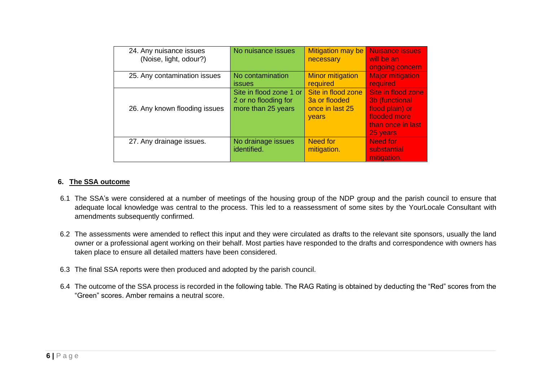| 24. Any nuisance issues       | No nuisance issues      | <b>Mitigation may be</b> | <b>Nuisance issues</b>  |
|-------------------------------|-------------------------|--------------------------|-------------------------|
| (Noise, light, odour?)        |                         | necessary                | will be an              |
|                               |                         |                          | ongoing concern         |
| 25. Any contamination issues  | No contamination        | <b>Minor mitigation</b>  | <b>Major mitigation</b> |
|                               | <i>issues</i>           | required                 | required                |
|                               | Site in flood zone 1 or | Site in flood zone       | Site in flood zone      |
|                               | 2 or no flooding for    | 3a or flooded            | 3b (functional          |
| 26. Any known flooding issues | more than 25 years      | once in last 25          | flood plain) or         |
|                               |                         | years                    | flooded more            |
|                               |                         |                          | than once in last       |
|                               |                         |                          | 25 years                |
| 27. Any drainage issues.      | No drainage issues      | <b>Need for</b>          | Need for                |
|                               | identified.             | mitigation.              | substantial             |
|                               |                         |                          | mitigation.             |

### **6. The SSA outcome**

- 6.1 The SSA's were considered at a number of meetings of the housing group of the NDP group and the parish council to ensure that adequate local knowledge was central to the process. This led to a reassessment of some sites by the YourLocale Consultant with amendments subsequently confirmed.
- 6.2 The assessments were amended to reflect this input and they were circulated as drafts to the relevant site sponsors, usually the land owner or a professional agent working on their behalf. Most parties have responded to the drafts and correspondence with owners has taken place to ensure all detailed matters have been considered.
- 6.3 The final SSA reports were then produced and adopted by the parish council.
- 6.4 The outcome of the SSA process is recorded in the following table. The RAG Rating is obtained by deducting the "Red" scores from the "Green" scores. Amber remains a neutral score.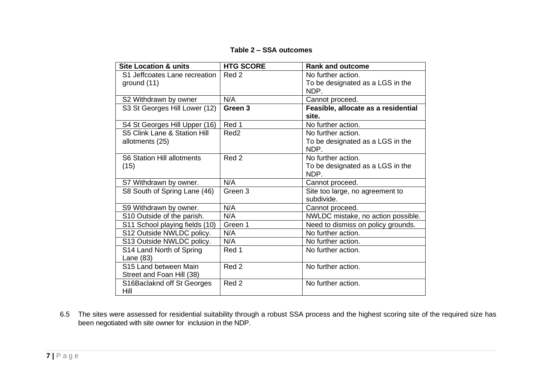| <b>Site Location &amp; units</b>  | <b>HTG SCORE</b> | <b>Rank and outcome</b>             |
|-----------------------------------|------------------|-------------------------------------|
| S1 Jeffcoates Lane recreation     | Red 2            | No further action.                  |
| ground (11)                       |                  | To be designated as a LGS in the    |
|                                   |                  | NDP.                                |
| S2 Withdrawn by owner             | N/A              | Cannot proceed.                     |
| S3 St Georges Hill Lower (12)     | Green 3          | Feasible, allocate as a residential |
|                                   |                  | site.                               |
| S4 St Georges Hill Upper (16)     | Red 1            | No further action.                  |
| S5 Clink Lane & Station Hill      | Red <sub>2</sub> | No further action.                  |
| allotments (25)                   |                  | To be designated as a LGS in the    |
|                                   |                  | NDP.                                |
| <b>S6 Station Hill allotments</b> | Red 2            | No further action.                  |
| (15)                              |                  | To be designated as a LGS in the    |
|                                   |                  | NDP.                                |
| S7 Withdrawn by owner.            | N/A              | Cannot proceed.                     |
| S8 South of Spring Lane (46)      | Green 3          | Site too large, no agreement to     |
|                                   |                  | subdivide.                          |
| S9 Withdrawn by owner.            | N/A              | Cannot proceed.                     |
| S10 Outside of the parish.        | N/A              | NWLDC mistake, no action possible.  |
| S11 School playing fields (10)    | Green 1          | Need to dismiss on policy grounds.  |
| S12 Outside NWLDC policy.         | N/A              | No further action.                  |
| S13 Outside NWLDC policy.         | N/A              | No further action.                  |
| S14 Land North of Spring          | Red 1            | No further action.                  |
| Lane (83)                         |                  |                                     |
| S15 Land between Main             | Red 2            | No further action.                  |
| Street and Foan Hill (38)         |                  |                                     |
| S16Baclaknd off St Georges        | Red 2            | No further action.                  |
| Hill                              |                  |                                     |

**Table 2 – SSA outcomes**

6.5 The sites were assessed for residential suitability through a robust SSA process and the highest scoring site of the required size has been negotiated with site owner for inclusion in the NDP.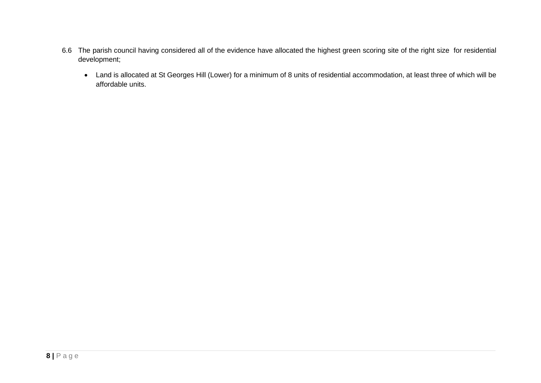- 6.6 The parish council having considered all of the evidence have allocated the highest green scoring site of the right size for residential development;
	- Land is allocated at St Georges Hill (Lower) for a minimum of 8 units of residential accommodation, at least three of which will be affordable units.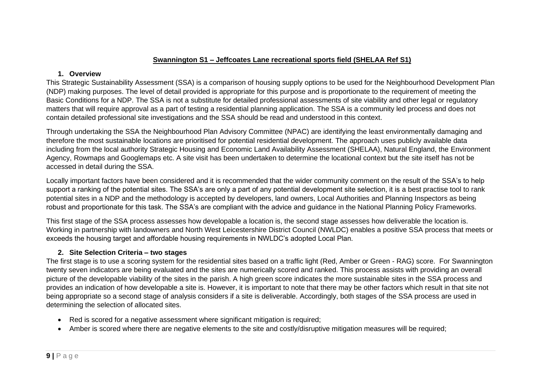# **Swannington S1 – Jeffcoates Lane recreational sports field (SHELAA Ref S1)**

### **1. Overview**

This Strategic Sustainability Assessment (SSA) is a comparison of housing supply options to be used for the Neighbourhood Development Plan (NDP) making purposes. The level of detail provided is appropriate for this purpose and is proportionate to the requirement of meeting the Basic Conditions for a NDP. The SSA is not a substitute for detailed professional assessments of site viability and other legal or regulatory matters that will require approval as a part of testing a residential planning application. The SSA is a community led process and does not contain detailed professional site investigations and the SSA should be read and understood in this context.

Through undertaking the SSA the Neighbourhood Plan Advisory Committee (NPAC) are identifying the least environmentally damaging and therefore the most sustainable locations are prioritised for potential residential development. The approach uses publicly available data including from the local authority Strategic Housing and Economic Land Availability Assessment (SHELAA), Natural England, the Environment Agency, Rowmaps and Googlemaps etc. A site visit has been undertaken to determine the locational context but the site itself has not be accessed in detail during the SSA.

Locally important factors have been considered and it is recommended that the wider community comment on the result of the SSA's to help support a ranking of the potential sites. The SSA's are only a part of any potential development site selection, it is a best practise tool to rank potential sites in a NDP and the methodology is accepted by developers, land owners, Local Authorities and Planning Inspectors as being robust and proportionate for this task. The SSA's are compliant with the advice and guidance in the National Planning Policy Frameworks.

This first stage of the SSA process assesses how developable a location is, the second stage assesses how deliverable the location is. Working in partnership with landowners and North West Leicestershire District Council (NWLDC) enables a positive SSA process that meets or exceeds the housing target and affordable housing requirements in NWLDC's adopted Local Plan.

# **2. Site Selection Criteria – two stages**

- Red is scored for a negative assessment where significant mitigation is required;
- Amber is scored where there are negative elements to the site and costly/disruptive mitigation measures will be required;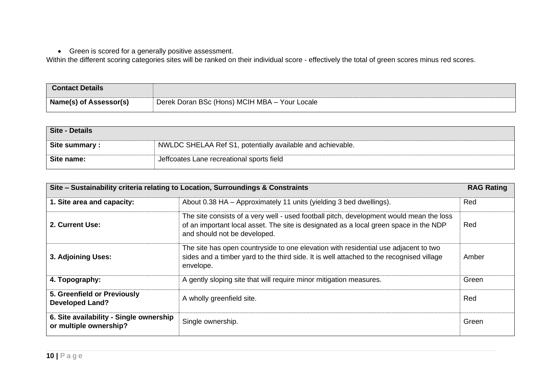• Green is scored for a generally positive assessment.

| <b>Contact Details</b>        |                                               |
|-------------------------------|-----------------------------------------------|
| <b>Name(s) of Assessor(s)</b> | Derek Doran BSc (Hons) MCIH MBA - Your Locale |

| Site - Details |                                                            |
|----------------|------------------------------------------------------------|
| Site summary : | NWLDC SHELAA Ref S1, potentially available and achievable. |
| Site name:     | Jeffcoates Lane recreational sports field                  |

|                                                                   | Site – Sustainability criteria relating to Location, Surroundings & Constraints                                                                                                                                  | <b>RAG Rating</b> |
|-------------------------------------------------------------------|------------------------------------------------------------------------------------------------------------------------------------------------------------------------------------------------------------------|-------------------|
| 1. Site area and capacity:                                        | About 0.38 HA - Approximately 11 units (yielding 3 bed dwellings).                                                                                                                                               | Red               |
| 2. Current Use:                                                   | The site consists of a very well - used football pitch, development would mean the loss<br>of an important local asset. The site is designated as a local green space in the NDP<br>and should not be developed. | Red               |
| 3. Adjoining Uses:                                                | The site has open countryside to one elevation with residential use adjacent to two<br>sides and a timber yard to the third side. It is well attached to the recognised village<br>envelope.                     | Amber             |
| 4. Topography:                                                    | A gently sloping site that will require minor mitigation measures.                                                                                                                                               | Green             |
| 5. Greenfield or Previously<br><b>Developed Land?</b>             | A wholly greenfield site.                                                                                                                                                                                        | Red               |
| 6. Site availability - Single ownership<br>or multiple ownership? | Single ownership.                                                                                                                                                                                                | Green             |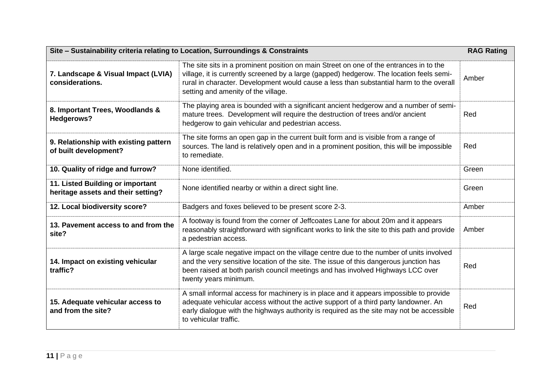| Site - Sustainability criteria relating to Location, Surroundings & Constraints |                                                                                                                                                                                                                                                                                                                      |       |
|---------------------------------------------------------------------------------|----------------------------------------------------------------------------------------------------------------------------------------------------------------------------------------------------------------------------------------------------------------------------------------------------------------------|-------|
| 7. Landscape & Visual Impact (LVIA)<br>considerations.                          | The site sits in a prominent position on main Street on one of the entrances in to the<br>village, it is currently screened by a large (gapped) hedgerow. The location feels semi-<br>rural in character. Development would cause a less than substantial harm to the overall<br>setting and amenity of the village. | Amber |
| 8. Important Trees, Woodlands &<br>Hedgerows?                                   | The playing area is bounded with a significant ancient hedgerow and a number of semi-<br>mature trees. Development will require the destruction of trees and/or ancient<br>hedgerow to gain vehicular and pedestrian access.                                                                                         | Red   |
| 9. Relationship with existing pattern<br>of built development?                  | The site forms an open gap in the current built form and is visible from a range of<br>sources. The land is relatively open and in a prominent position, this will be impossible<br>to remediate.                                                                                                                    | Red   |
| 10. Quality of ridge and furrow?                                                | None identified.                                                                                                                                                                                                                                                                                                     | Green |
| 11. Listed Building or important<br>heritage assets and their setting?          | None identified nearby or within a direct sight line.                                                                                                                                                                                                                                                                | Green |
| 12. Local biodiversity score?                                                   | Badgers and foxes believed to be present score 2-3.                                                                                                                                                                                                                                                                  | Amber |
| 13. Pavement access to and from the<br>site?                                    | A footway is found from the corner of Jeffcoates Lane for about 20m and it appears<br>reasonably straightforward with significant works to link the site to this path and provide<br>a pedestrian access.                                                                                                            | Amber |
| 14. Impact on existing vehicular<br>traffic?                                    | A large scale negative impact on the village centre due to the number of units involved<br>and the very sensitive location of the site. The issue of this dangerous junction has<br>been raised at both parish council meetings and has involved Highways LCC over<br>twenty years minimum.                          | Red   |
| 15. Adequate vehicular access to<br>and from the site?                          | A small informal access for machinery is in place and it appears impossible to provide<br>adequate vehicular access without the active support of a third party landowner. An<br>early dialogue with the highways authority is required as the site may not be accessible<br>to vehicular traffic.                   | Red   |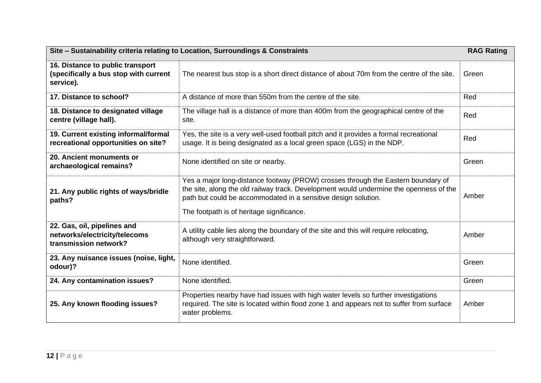|                                                                                        | Site - Sustainability criteria relating to Location, Surroundings & Constraints                                                                                                                                                                                                           | <b>RAG Rating</b> |
|----------------------------------------------------------------------------------------|-------------------------------------------------------------------------------------------------------------------------------------------------------------------------------------------------------------------------------------------------------------------------------------------|-------------------|
| 16. Distance to public transport<br>(specifically a bus stop with current<br>service). | The nearest bus stop is a short direct distance of about 70m from the centre of the site.                                                                                                                                                                                                 | Green             |
| 17. Distance to school?                                                                | A distance of more than 550m from the centre of the site.                                                                                                                                                                                                                                 | Red               |
| 18. Distance to designated village<br>centre (village hall).                           | The village hall is a distance of more than 400m from the geographical centre of the<br>site.                                                                                                                                                                                             | Red               |
| 19. Current existing informal/formal<br>recreational opportunities on site?            | Yes, the site is a very well-used football pitch and it provides a formal recreational<br>usage. It is being designated as a local green space (LGS) in the NDP.                                                                                                                          | Red               |
| 20. Ancient monuments or<br>archaeological remains?                                    | None identified on site or nearby.                                                                                                                                                                                                                                                        | Green             |
| 21. Any public rights of ways/bridle<br>paths?                                         | Yes a major long-distance footway (PROW) crosses through the Eastern boundary of<br>the site, along the old railway track. Development would undermine the openness of the<br>path but could be accommodated in a sensitive design solution.<br>The footpath is of heritage significance. | Amber             |
| 22. Gas, oil, pipelines and<br>networks/electricity/telecoms<br>transmission network?  | A utility cable lies along the boundary of the site and this will require relocating,<br>although very straightforward.                                                                                                                                                                   | Amber             |
| 23. Any nuisance issues (noise, light,<br>odour)?                                      | None identified.                                                                                                                                                                                                                                                                          | Green             |
| 24. Any contamination issues?                                                          | None identified.                                                                                                                                                                                                                                                                          | Green             |
| 25. Any known flooding issues?                                                         | Properties nearby have had issues with high water levels so further investigations<br>required. The site is located within flood zone 1 and appears not to suffer from surface<br>water problems.                                                                                         | Amber             |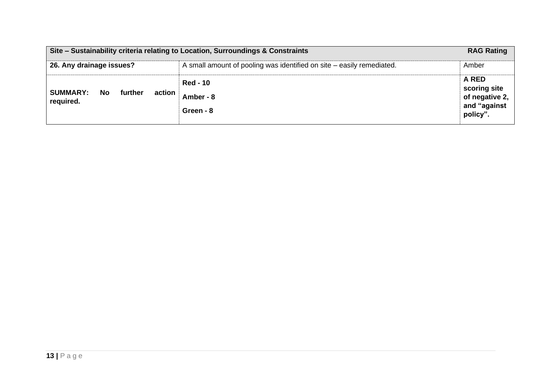|                                                          | Site – Sustainability criteria relating to Location, Surroundings & Constraints | <b>RAG Rating</b>                                                   |
|----------------------------------------------------------|---------------------------------------------------------------------------------|---------------------------------------------------------------------|
| 26. Any drainage issues?                                 | A small amount of pooling was identified on site – easily remediated.           | Amber                                                               |
| <b>SUMMARY:</b><br>No.<br>further<br>action<br>required. | <b>Red - 10</b><br>Amber - 8<br>Green - 8                                       | A RED<br>scoring site<br>of negative 2,<br>and "against<br>policy". |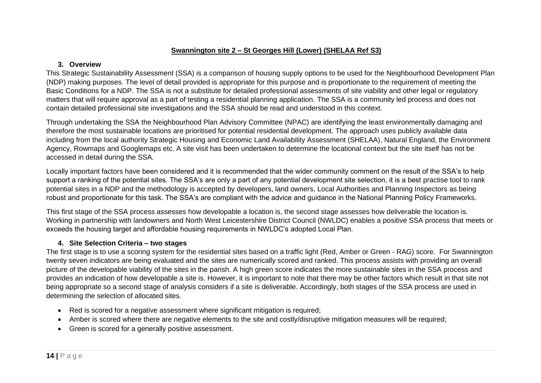### **Swannington site 2 – St Georges Hill (Lower) (SHELAA Ref S3)**

# **3. Overview**

This Strategic Sustainability Assessment (SSA) is a comparison of housing supply options to be used for the Neighbourhood Development Plan (NDP) making purposes. The level of detail provided is appropriate for this purpose and is proportionate to the requirement of meeting the Basic Conditions for a NDP. The SSA is not a substitute for detailed professional assessments of site viability and other legal or regulatory matters that will require approval as a part of testing a residential planning application. The SSA is a community led process and does not contain detailed professional site investigations and the SSA should be read and understood in this context.

Through undertaking the SSA the Neighbourhood Plan Advisory Committee (NPAC) are identifying the least environmentally damaging and therefore the most sustainable locations are prioritised for potential residential development. The approach uses publicly available data including from the local authority Strategic Housing and Economic Land Availability Assessment (SHELAA), Natural England, the Environment Agency, Rowmaps and Googlemaps etc. A site visit has been undertaken to determine the locational context but the site itself has not be accessed in detail during the SSA.

Locally important factors have been considered and it is recommended that the wider community comment on the result of the SSA's to help support a ranking of the potential sites. The SSA's are only a part of any potential development site selection, it is a best practise tool to rank potential sites in a NDP and the methodology is accepted by developers, land owners, Local Authorities and Planning Inspectors as being robust and proportionate for this task. The SSA's are compliant with the advice and guidance in the National Planning Policy Frameworks.

This first stage of the SSA process assesses how developable a location is, the second stage assesses how deliverable the location is. Working in partnership with landowners and North West Leicestershire District Council (NWLDC) enables a positive SSA process that meets or exceeds the housing target and affordable housing requirements in NWLDC's adopted Local Plan.

# **4. Site Selection Criteria – two stages**

- Red is scored for a negative assessment where significant mitigation is required;
- Amber is scored where there are negative elements to the site and costly/disruptive mitigation measures will be required;
- Green is scored for a generally positive assessment.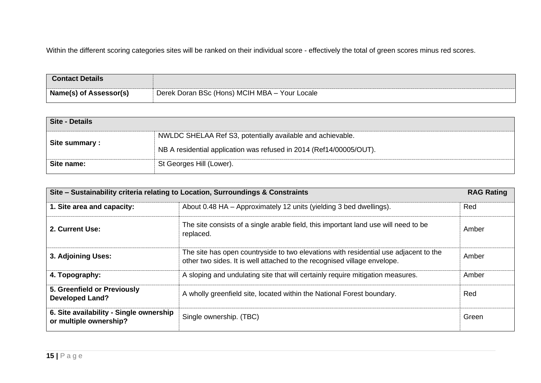| <b>Contact Details</b>        |                                               |
|-------------------------------|-----------------------------------------------|
| <b>Name(s) of Assessor(s)</b> | Derek Doran BSc (Hons) MCIH MBA - Your Locale |

| Site - Details |                                                                     |
|----------------|---------------------------------------------------------------------|
| Site summary : | NWLDC SHELAA Ref S3, potentially available and achievable.          |
|                | NB A residential application was refused in 2014 (Ref14/00005/OUT). |
| Site name:     | St Georges Hill (Lower).                                            |

|                                                                   | Site - Sustainability criteria relating to Location, Surroundings & Constraints                                                                                  | <b>RAG Rating</b> |
|-------------------------------------------------------------------|------------------------------------------------------------------------------------------------------------------------------------------------------------------|-------------------|
| 1. Site area and capacity:                                        | About 0.48 HA – Approximately 12 units (yielding 3 bed dwellings).                                                                                               | Red               |
| 2. Current Use:                                                   | The site consists of a single arable field, this important land use will need to be<br>replaced.                                                                 | Amber             |
| 3. Adjoining Uses:                                                | The site has open countryside to two elevations with residential use adjacent to the<br>other two sides. It is well attached to the recognised village envelope. | Amber             |
| 4. Topography:                                                    | A sloping and undulating site that will certainly require mitigation measures.                                                                                   | Amber             |
| 5. Greenfield or Previously<br><b>Developed Land?</b>             | A wholly greenfield site, located within the National Forest boundary.                                                                                           | Red               |
| 6. Site availability - Single ownership<br>or multiple ownership? | Single ownership. (TBC)                                                                                                                                          | Green             |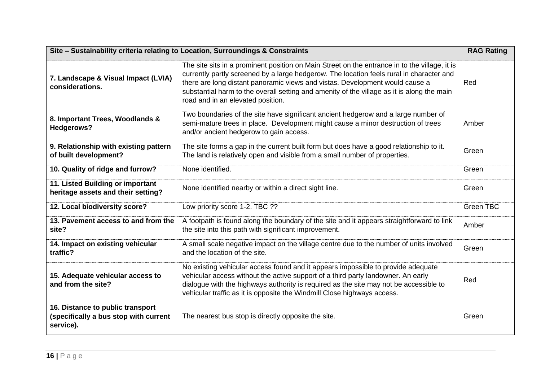| Site - Sustainability criteria relating to Location, Surroundings & Constraints        |                                                                                                                                                                                                                                                                                                                                                                                                              | <b>RAG Rating</b> |
|----------------------------------------------------------------------------------------|--------------------------------------------------------------------------------------------------------------------------------------------------------------------------------------------------------------------------------------------------------------------------------------------------------------------------------------------------------------------------------------------------------------|-------------------|
| 7. Landscape & Visual Impact (LVIA)<br>considerations.                                 | The site sits in a prominent position on Main Street on the entrance in to the village, it is<br>currently partly screened by a large hedgerow. The location feels rural in character and<br>there are long distant panoramic views and vistas. Development would cause a<br>substantial harm to the overall setting and amenity of the village as it is along the main<br>road and in an elevated position. | Red               |
| 8. Important Trees, Woodlands &<br><b>Hedgerows?</b>                                   | Two boundaries of the site have significant ancient hedgerow and a large number of<br>semi-mature trees in place. Development might cause a minor destruction of trees<br>and/or ancient hedgerow to gain access.                                                                                                                                                                                            | Amber             |
| 9. Relationship with existing pattern<br>of built development?                         | The site forms a gap in the current built form but does have a good relationship to it.<br>The land is relatively open and visible from a small number of properties.                                                                                                                                                                                                                                        | Green             |
| 10. Quality of ridge and furrow?                                                       | None identified.                                                                                                                                                                                                                                                                                                                                                                                             | Green             |
| 11. Listed Building or important<br>heritage assets and their setting?                 | None identified nearby or within a direct sight line.                                                                                                                                                                                                                                                                                                                                                        | Green             |
| 12. Local biodiversity score?                                                          | Low priority score 1-2. TBC ??                                                                                                                                                                                                                                                                                                                                                                               | Green TBC         |
| 13. Pavement access to and from the<br>site?                                           | A footpath is found along the boundary of the site and it appears straightforward to link<br>the site into this path with significant improvement.                                                                                                                                                                                                                                                           | Amber             |
| 14. Impact on existing vehicular<br>traffic?                                           | A small scale negative impact on the village centre due to the number of units involved<br>and the location of the site.                                                                                                                                                                                                                                                                                     | Green             |
| 15. Adequate vehicular access to<br>and from the site?                                 | No existing vehicular access found and it appears impossible to provide adequate<br>vehicular access without the active support of a third party landowner. An early<br>dialogue with the highways authority is required as the site may not be accessible to<br>vehicular traffic as it is opposite the Windmill Close highways access.                                                                     | Red               |
| 16. Distance to public transport<br>(specifically a bus stop with current<br>service). | The nearest bus stop is directly opposite the site.                                                                                                                                                                                                                                                                                                                                                          | Green             |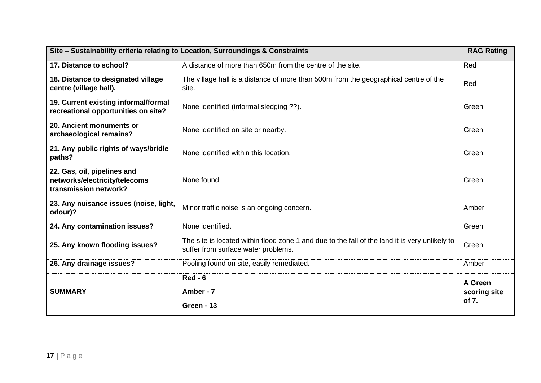| Site - Sustainability criteria relating to Location, Surroundings & Constraints       |                                                                                                                                       | <b>RAG Rating</b>                |
|---------------------------------------------------------------------------------------|---------------------------------------------------------------------------------------------------------------------------------------|----------------------------------|
| 17. Distance to school?                                                               | A distance of more than 650m from the centre of the site.                                                                             | Red                              |
| 18. Distance to designated village<br>centre (village hall).                          | The village hall is a distance of more than 500m from the geographical centre of the<br>site.                                         | Red                              |
| 19. Current existing informal/formal<br>recreational opportunities on site?           | None identified (informal sledging ??).                                                                                               | Green                            |
| 20. Ancient monuments or<br>archaeological remains?                                   | None identified on site or nearby.                                                                                                    | Green                            |
| 21. Any public rights of ways/bridle<br>paths?                                        | None identified within this location.                                                                                                 | Green                            |
| 22. Gas, oil, pipelines and<br>networks/electricity/telecoms<br>transmission network? | None found.                                                                                                                           | Green                            |
| 23. Any nuisance issues (noise, light,<br>odour)?                                     | Minor traffic noise is an ongoing concern.                                                                                            | Amber                            |
| 24. Any contamination issues?                                                         | None identified.                                                                                                                      | Green                            |
| 25. Any known flooding issues?                                                        | The site is located within flood zone 1 and due to the fall of the land it is very unlikely to<br>suffer from surface water problems. | Green                            |
| 26. Any drainage issues?                                                              | Pooling found on site, easily remediated.                                                                                             | Amber                            |
| <b>SUMMARY</b>                                                                        | $Red - 6$<br>Amber - 7<br>Green - 13                                                                                                  | A Green<br>scoring site<br>of 7. |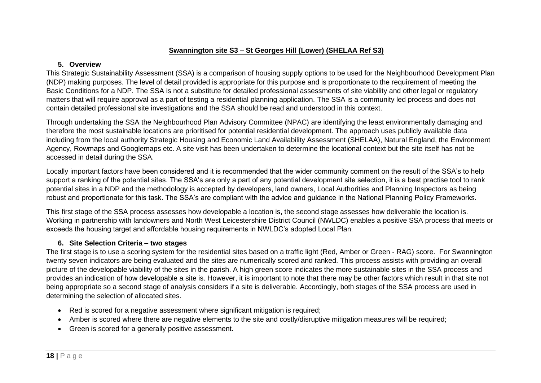## **Swannington site S3 – St Georges Hill (Lower) (SHELAA Ref S3)**

## **5. Overview**

This Strategic Sustainability Assessment (SSA) is a comparison of housing supply options to be used for the Neighbourhood Development Plan (NDP) making purposes. The level of detail provided is appropriate for this purpose and is proportionate to the requirement of meeting the Basic Conditions for a NDP. The SSA is not a substitute for detailed professional assessments of site viability and other legal or regulatory matters that will require approval as a part of testing a residential planning application. The SSA is a community led process and does not contain detailed professional site investigations and the SSA should be read and understood in this context.

Through undertaking the SSA the Neighbourhood Plan Advisory Committee (NPAC) are identifying the least environmentally damaging and therefore the most sustainable locations are prioritised for potential residential development. The approach uses publicly available data including from the local authority Strategic Housing and Economic Land Availability Assessment (SHELAA), Natural England, the Environment Agency, Rowmaps and Googlemaps etc. A site visit has been undertaken to determine the locational context but the site itself has not be accessed in detail during the SSA.

Locally important factors have been considered and it is recommended that the wider community comment on the result of the SSA's to help support a ranking of the potential sites. The SSA's are only a part of any potential development site selection, it is a best practise tool to rank potential sites in a NDP and the methodology is accepted by developers, land owners, Local Authorities and Planning Inspectors as being robust and proportionate for this task. The SSA's are compliant with the advice and guidance in the National Planning Policy Frameworks.

This first stage of the SSA process assesses how developable a location is, the second stage assesses how deliverable the location is. Working in partnership with landowners and North West Leicestershire District Council (NWLDC) enables a positive SSA process that meets or exceeds the housing target and affordable housing requirements in NWLDC's adopted Local Plan.

# **6. Site Selection Criteria – two stages**

- Red is scored for a negative assessment where significant mitigation is required;
- Amber is scored where there are negative elements to the site and costly/disruptive mitigation measures will be required;
- Green is scored for a generally positive assessment.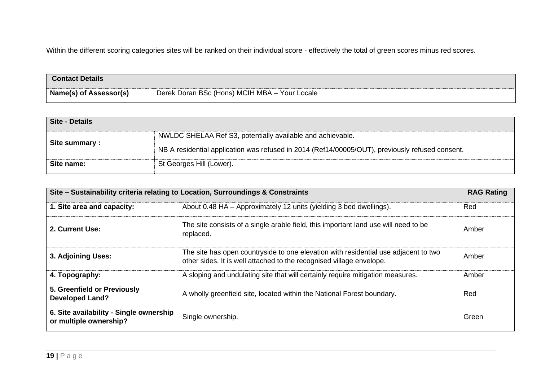| <b>Contact Details</b> |                                               |
|------------------------|-----------------------------------------------|
| Name(s) of Assessor(s) | Derek Doran BSc (Hons) MCIH MBA - Your Locale |

| <b>Site - Details</b> |                                                                                                 |
|-----------------------|-------------------------------------------------------------------------------------------------|
| Site summary:         | NWLDC SHELAA Ref S3, potentially available and achievable.                                      |
|                       | NB A residential application was refused in 2014 (Ref14/00005/OUT), previously refused consent. |
| Site name:            | St Georges Hill (Lower).                                                                        |

|                                                                   | Site - Sustainability criteria relating to Location, Surroundings & Constraints                                                                             | <b>RAG Rating</b> |
|-------------------------------------------------------------------|-------------------------------------------------------------------------------------------------------------------------------------------------------------|-------------------|
| 1. Site area and capacity:                                        | About 0.48 HA – Approximately 12 units (yielding 3 bed dwellings).                                                                                          | Red               |
| 2. Current Use:                                                   | The site consists of a single arable field, this important land use will need to be<br>replaced.                                                            | Amber             |
| 3. Adjoining Uses:                                                | The site has open countryside to one elevation with residential use adjacent to two<br>other sides. It is well attached to the recognised village envelope. | Amber             |
| 4. Topography:                                                    | A sloping and undulating site that will certainly require mitigation measures.                                                                              | Amber             |
| 5. Greenfield or Previously<br><b>Developed Land?</b>             | A wholly greenfield site, located within the National Forest boundary.                                                                                      | Red               |
| 6. Site availability - Single ownership<br>or multiple ownership? | Single ownership.                                                                                                                                           | Green             |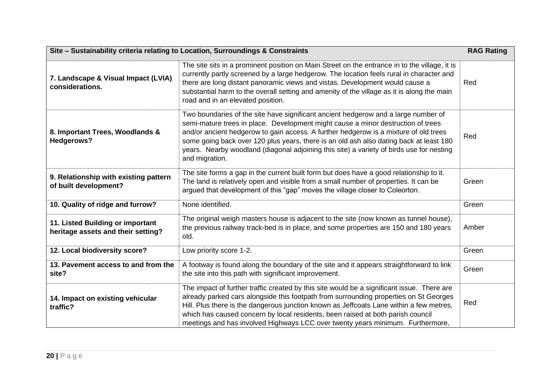| Site - Sustainability criteria relating to Location, Surroundings & Constraints |                                                                                                                                                                                                                                                                                                                                                                                                                                                                        | <b>RAG Rating</b> |
|---------------------------------------------------------------------------------|------------------------------------------------------------------------------------------------------------------------------------------------------------------------------------------------------------------------------------------------------------------------------------------------------------------------------------------------------------------------------------------------------------------------------------------------------------------------|-------------------|
| 7. Landscape & Visual Impact (LVIA)<br>considerations.                          | The site sits in a prominent position on Main Street on the entrance in to the village, it is<br>currently partly screened by a large hedgerow. The location feels rural in character and<br>there are long distant panoramic views and vistas. Development would cause a<br>substantial harm to the overall setting and amenity of the village as it is along the main<br>road and in an elevated position.                                                           | Red               |
| 8. Important Trees, Woodlands &<br>Hedgerows?                                   | Two boundaries of the site have significant ancient hedgerow and a large number of<br>semi-mature trees in place. Development might cause a minor destruction of trees<br>and/or ancient hedgerow to gain access. A further hedgerow is a mixture of old trees<br>some going back over 120 plus years, there is an old ash also dating back at least 180<br>years. Nearby woodland (diagonal adjoining this site) a variety of birds use for nesting<br>and migration. | Red               |
| 9. Relationship with existing pattern<br>of built development?                  | The site forms a gap in the current built form but does have a good relationship to it.<br>The land is relatively open and visible from a small number of properties. It can be<br>argued that development of this "gap" moves the village closer to Coleorton.                                                                                                                                                                                                        | Green             |
| 10. Quality of ridge and furrow?                                                | None identified.                                                                                                                                                                                                                                                                                                                                                                                                                                                       | Green             |
| 11. Listed Building or important<br>heritage assets and their setting?          | The original weigh masters house is adjacent to the site (now known as tunnel house),<br>the previous railway track-bed is in place, and some properties are 150 and 180 years<br>old.                                                                                                                                                                                                                                                                                 | Amber             |
| 12. Local biodiversity score?                                                   | Low priority score 1-2.                                                                                                                                                                                                                                                                                                                                                                                                                                                | Green             |
| 13. Pavement access to and from the<br>site?                                    | A footway is found along the boundary of the site and it appears straightforward to link<br>the site into this path with significant improvement.                                                                                                                                                                                                                                                                                                                      | Green             |
| 14. Impact on existing vehicular<br>traffic?                                    | The impact of further traffic created by this site would be a significant issue. There are<br>already parked cars alongside this footpath from surrounding properties on St Georges<br>Hill. Plus there is the dangerous junction known as Jeffcoats Lane within a few metres,<br>which has caused concern by local residents, been raised at both parish council<br>meetings and has involved Highways LCC over twenty years minimum. Furthermore,                    | Red               |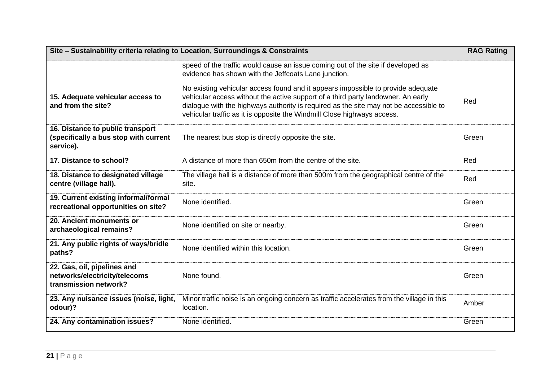| Site - Sustainability criteria relating to Location, Surroundings & Constraints        |                                                                                                                                                                                                                                                                                                                                          | <b>RAG Rating</b> |
|----------------------------------------------------------------------------------------|------------------------------------------------------------------------------------------------------------------------------------------------------------------------------------------------------------------------------------------------------------------------------------------------------------------------------------------|-------------------|
|                                                                                        | speed of the traffic would cause an issue coming out of the site if developed as<br>evidence has shown with the Jeffcoats Lane junction.                                                                                                                                                                                                 |                   |
| 15. Adequate vehicular access to<br>and from the site?                                 | No existing vehicular access found and it appears impossible to provide adequate<br>vehicular access without the active support of a third party landowner. An early<br>dialogue with the highways authority is required as the site may not be accessible to<br>vehicular traffic as it is opposite the Windmill Close highways access. | Red               |
| 16. Distance to public transport<br>(specifically a bus stop with current<br>service). | The nearest bus stop is directly opposite the site.                                                                                                                                                                                                                                                                                      | Green             |
| 17. Distance to school?                                                                | A distance of more than 650m from the centre of the site.                                                                                                                                                                                                                                                                                | Red               |
| 18. Distance to designated village<br>centre (village hall).                           | The village hall is a distance of more than 500m from the geographical centre of the<br>site.                                                                                                                                                                                                                                            | Red               |
| 19. Current existing informal/formal<br>recreational opportunities on site?            | None identified.                                                                                                                                                                                                                                                                                                                         | Green             |
| 20. Ancient monuments or<br>archaeological remains?                                    | None identified on site or nearby.                                                                                                                                                                                                                                                                                                       | Green             |
| 21. Any public rights of ways/bridle<br>paths?                                         | None identified within this location.                                                                                                                                                                                                                                                                                                    | Green             |
| 22. Gas, oil, pipelines and<br>networks/electricity/telecoms<br>transmission network?  | None found.                                                                                                                                                                                                                                                                                                                              | Green             |
| 23. Any nuisance issues (noise, light,<br>odour)?                                      | Minor traffic noise is an ongoing concern as traffic accelerates from the village in this<br>location.                                                                                                                                                                                                                                   | Amber             |
| 24. Any contamination issues?                                                          | None identified.                                                                                                                                                                                                                                                                                                                         | Green             |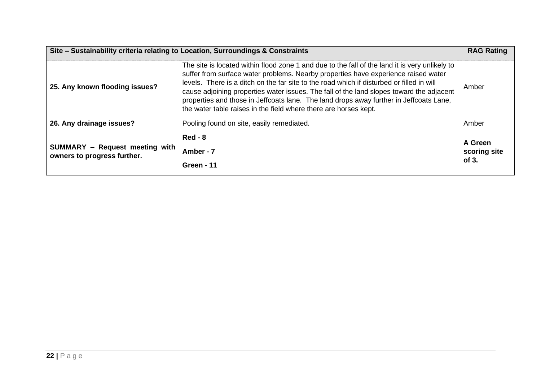|                                                                      | Site - Sustainability criteria relating to Location, Surroundings & Constraints                                                                                                                                                                                                                                                                                                                                                                                                                                                             | <b>RAG Rating</b>                |
|----------------------------------------------------------------------|---------------------------------------------------------------------------------------------------------------------------------------------------------------------------------------------------------------------------------------------------------------------------------------------------------------------------------------------------------------------------------------------------------------------------------------------------------------------------------------------------------------------------------------------|----------------------------------|
| 25. Any known flooding issues?                                       | The site is located within flood zone 1 and due to the fall of the land it is very unlikely to<br>suffer from surface water problems. Nearby properties have experience raised water<br>levels. There is a ditch on the far site to the road which if disturbed or filled in will<br>cause adjoining properties water issues. The fall of the land slopes toward the adjacent<br>properties and those in Jeffcoats lane. The land drops away further in Jeffcoats Lane,<br>the water table raises in the field where there are horses kept. | Amber                            |
| 26. Any drainage issues?                                             | Pooling found on site, easily remediated.                                                                                                                                                                                                                                                                                                                                                                                                                                                                                                   | Amber                            |
| <b>SUMMARY</b> - Request meeting with<br>owners to progress further. | $Red - 8$<br>Amber - 7<br><b>Green - 11</b>                                                                                                                                                                                                                                                                                                                                                                                                                                                                                                 | A Green<br>scoring site<br>of 3. |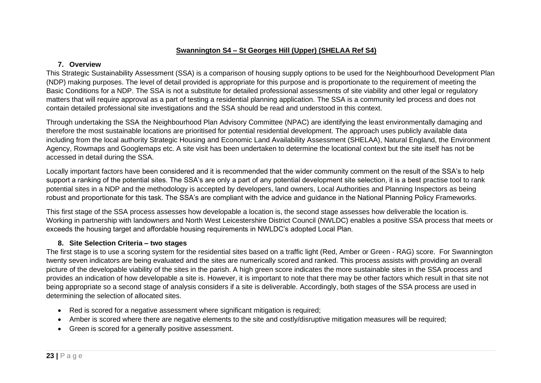# **Swannington S4 – St Georges Hill (Upper) (SHELAA Ref S4)**

#### **7. Overview**

This Strategic Sustainability Assessment (SSA) is a comparison of housing supply options to be used for the Neighbourhood Development Plan (NDP) making purposes. The level of detail provided is appropriate for this purpose and is proportionate to the requirement of meeting the Basic Conditions for a NDP. The SSA is not a substitute for detailed professional assessments of site viability and other legal or regulatory matters that will require approval as a part of testing a residential planning application. The SSA is a community led process and does not contain detailed professional site investigations and the SSA should be read and understood in this context.

Through undertaking the SSA the Neighbourhood Plan Advisory Committee (NPAC) are identifying the least environmentally damaging and therefore the most sustainable locations are prioritised for potential residential development. The approach uses publicly available data including from the local authority Strategic Housing and Economic Land Availability Assessment (SHELAA), Natural England, the Environment Agency, Rowmaps and Googlemaps etc. A site visit has been undertaken to determine the locational context but the site itself has not be accessed in detail during the SSA.

Locally important factors have been considered and it is recommended that the wider community comment on the result of the SSA's to help support a ranking of the potential sites. The SSA's are only a part of any potential development site selection, it is a best practise tool to rank potential sites in a NDP and the methodology is accepted by developers, land owners, Local Authorities and Planning Inspectors as being robust and proportionate for this task. The SSA's are compliant with the advice and guidance in the National Planning Policy Frameworks.

This first stage of the SSA process assesses how developable a location is, the second stage assesses how deliverable the location is. Working in partnership with landowners and North West Leicestershire District Council (NWLDC) enables a positive SSA process that meets or exceeds the housing target and affordable housing requirements in NWLDC's adopted Local Plan.

# **8. Site Selection Criteria – two stages**

- Red is scored for a negative assessment where significant mitigation is required;
- Amber is scored where there are negative elements to the site and costly/disruptive mitigation measures will be required;
- Green is scored for a generally positive assessment.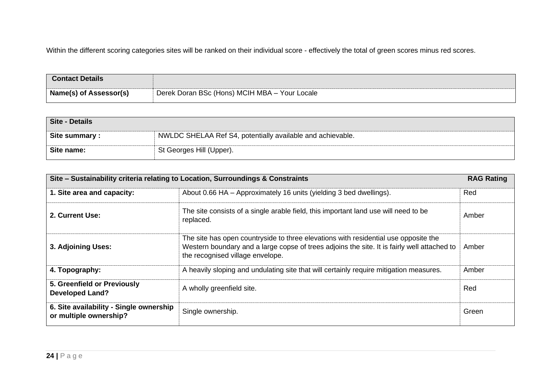| <b>Contact Details</b>        |                                               |
|-------------------------------|-----------------------------------------------|
| <b>Name(s) of Assessor(s)</b> | Derek Doran BSc (Hons) MCIH MBA - Your Locale |

| Site - Details |                                                            |
|----------------|------------------------------------------------------------|
| Site summary:  | NWLDC SHELAA Ref S4, potentially available and achievable. |
| Site name:     | St Georges Hill (Upper).                                   |

| Site – Sustainability criteria relating to Location, Surroundings & Constraints |                                                                                                                                                                                                                        | <b>RAG Rating</b> |
|---------------------------------------------------------------------------------|------------------------------------------------------------------------------------------------------------------------------------------------------------------------------------------------------------------------|-------------------|
| 1. Site area and capacity:                                                      | About 0.66 HA - Approximately 16 units (yielding 3 bed dwellings).                                                                                                                                                     | Red               |
| 2. Current Use:                                                                 | The site consists of a single arable field, this important land use will need to be<br>replaced.                                                                                                                       | Amber             |
| 3. Adjoining Uses:                                                              | The site has open countryside to three elevations with residential use opposite the<br>Western boundary and a large copse of trees adjoins the site. It is fairly well attached to<br>the recognised village envelope. | Amber             |
| 4. Topography:                                                                  | A heavily sloping and undulating site that will certainly require mitigation measures.                                                                                                                                 | Amber             |
| 5. Greenfield or Previously<br><b>Developed Land?</b>                           | A wholly greenfield site.                                                                                                                                                                                              | Red               |
| 6. Site availability - Single ownership<br>or multiple ownership?               | Single ownership.                                                                                                                                                                                                      | Green             |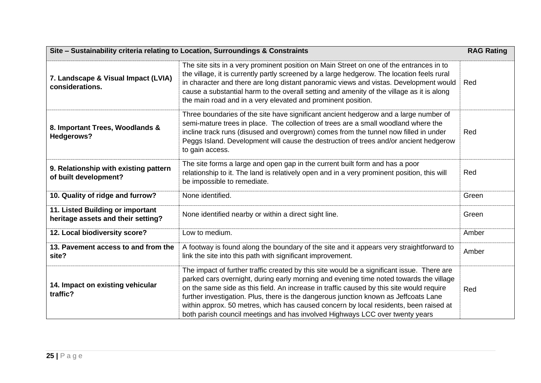| Site - Sustainability criteria relating to Location, Surroundings & Constraints<br><b>RAG Rating</b>                                                                                                                                                                                                                                                                                                                                                                                                                                                                                              |                                                                                                                                                                                                                                                                                                                                                                                                                                                    |       |
|---------------------------------------------------------------------------------------------------------------------------------------------------------------------------------------------------------------------------------------------------------------------------------------------------------------------------------------------------------------------------------------------------------------------------------------------------------------------------------------------------------------------------------------------------------------------------------------------------|----------------------------------------------------------------------------------------------------------------------------------------------------------------------------------------------------------------------------------------------------------------------------------------------------------------------------------------------------------------------------------------------------------------------------------------------------|-------|
| 7. Landscape & Visual Impact (LVIA)<br>considerations.                                                                                                                                                                                                                                                                                                                                                                                                                                                                                                                                            | The site sits in a very prominent position on Main Street on one of the entrances in to<br>the village, it is currently partly screened by a large hedgerow. The location feels rural<br>in character and there are long distant panoramic views and vistas. Development would<br>Red<br>cause a substantial harm to the overall setting and amenity of the village as it is along<br>the main road and in a very elevated and prominent position. |       |
| 8. Important Trees, Woodlands &<br><b>Hedgerows?</b>                                                                                                                                                                                                                                                                                                                                                                                                                                                                                                                                              | Three boundaries of the site have significant ancient hedgerow and a large number of<br>semi-mature trees in place. The collection of trees are a small woodland where the<br>incline track runs (disused and overgrown) comes from the tunnel now filled in under<br>Red<br>Peggs Island. Development will cause the destruction of trees and/or ancient hedgerow<br>to gain access.                                                              |       |
| 9. Relationship with existing pattern<br>of built development?                                                                                                                                                                                                                                                                                                                                                                                                                                                                                                                                    | The site forms a large and open gap in the current built form and has a poor<br>relationship to it. The land is relatively open and in a very prominent position, this will<br>Red<br>be impossible to remediate.                                                                                                                                                                                                                                  |       |
| 10. Quality of ridge and furrow?                                                                                                                                                                                                                                                                                                                                                                                                                                                                                                                                                                  | None identified.                                                                                                                                                                                                                                                                                                                                                                                                                                   | Green |
| 11. Listed Building or important<br>heritage assets and their setting?                                                                                                                                                                                                                                                                                                                                                                                                                                                                                                                            | None identified nearby or within a direct sight line.<br>Green                                                                                                                                                                                                                                                                                                                                                                                     |       |
| 12. Local biodiversity score?                                                                                                                                                                                                                                                                                                                                                                                                                                                                                                                                                                     | Low to medium.                                                                                                                                                                                                                                                                                                                                                                                                                                     | Amber |
| 13. Pavement access to and from the<br>site?                                                                                                                                                                                                                                                                                                                                                                                                                                                                                                                                                      | A footway is found along the boundary of the site and it appears very straightforward to<br>Amber<br>link the site into this path with significant improvement.                                                                                                                                                                                                                                                                                    |       |
| The impact of further traffic created by this site would be a significant issue. There are<br>parked cars overnight, during early morning and evening time noted towards the village<br>14. Impact on existing vehicular<br>on the same side as this field. An increase in traffic caused by this site would require<br>traffic?<br>further investigation. Plus, there is the dangerous junction known as Jeffcoats Lane<br>within approx. 50 metres, which has caused concern by local residents, been raised at<br>both parish council meetings and has involved Highways LCC over twenty years |                                                                                                                                                                                                                                                                                                                                                                                                                                                    | Red   |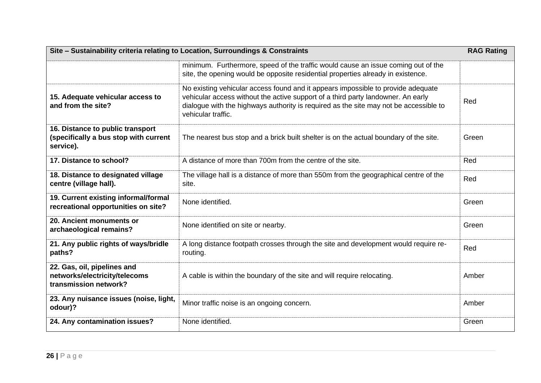| Site - Sustainability criteria relating to Location, Surroundings & Constraints        |                                                                                                                                                                                                                                                                                     | <b>RAG Rating</b> |
|----------------------------------------------------------------------------------------|-------------------------------------------------------------------------------------------------------------------------------------------------------------------------------------------------------------------------------------------------------------------------------------|-------------------|
|                                                                                        | minimum. Furthermore, speed of the traffic would cause an issue coming out of the<br>site, the opening would be opposite residential properties already in existence.                                                                                                               |                   |
| 15. Adequate vehicular access to<br>and from the site?                                 | No existing vehicular access found and it appears impossible to provide adequate<br>vehicular access without the active support of a third party landowner. An early<br>dialogue with the highways authority is required as the site may not be accessible to<br>vehicular traffic. | Red               |
| 16. Distance to public transport<br>(specifically a bus stop with current<br>service). | The nearest bus stop and a brick built shelter is on the actual boundary of the site.                                                                                                                                                                                               | Green             |
| 17. Distance to school?                                                                | A distance of more than 700m from the centre of the site.                                                                                                                                                                                                                           | Red               |
| 18. Distance to designated village<br>centre (village hall).                           | The village hall is a distance of more than 550m from the geographical centre of the<br>site.                                                                                                                                                                                       | Red               |
| 19. Current existing informal/formal<br>recreational opportunities on site?            | None identified.                                                                                                                                                                                                                                                                    | Green             |
| 20. Ancient monuments or<br>archaeological remains?                                    | None identified on site or nearby.                                                                                                                                                                                                                                                  | Green             |
| 21. Any public rights of ways/bridle<br>paths?                                         | A long distance footpath crosses through the site and development would require re-<br>routing.                                                                                                                                                                                     | Red               |
| 22. Gas, oil, pipelines and<br>networks/electricity/telecoms<br>transmission network?  | A cable is within the boundary of the site and will require relocating.                                                                                                                                                                                                             | Amber             |
| 23. Any nuisance issues (noise, light,<br>odour)?                                      | Minor traffic noise is an ongoing concern.                                                                                                                                                                                                                                          | Amber             |
| 24. Any contamination issues?                                                          | None identified.                                                                                                                                                                                                                                                                    | Green             |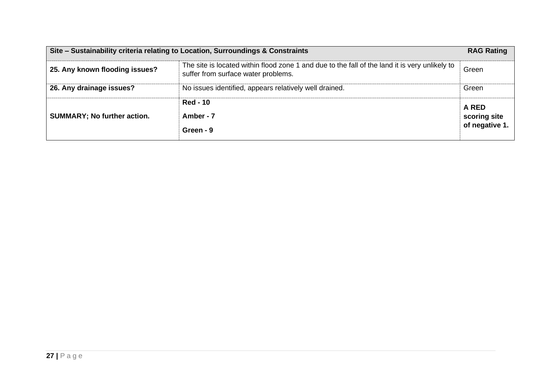|                                    | Site – Sustainability criteria relating to Location, Surroundings & Constraints                                                       | <b>RAG Rating</b>     |
|------------------------------------|---------------------------------------------------------------------------------------------------------------------------------------|-----------------------|
| 25. Any known flooding issues?     | The site is located within flood zone 1 and due to the fall of the land it is very unlikely to<br>suffer from surface water problems. | Green                 |
| 26. Any drainage issues?           | No issues identified, appears relatively well drained.                                                                                | Green                 |
| <b>SUMMARY; No further action.</b> | <b>Red - 10</b><br>Amber - 7                                                                                                          | A RED<br>scoring site |
|                                    | Green - 9                                                                                                                             | of negative 1.        |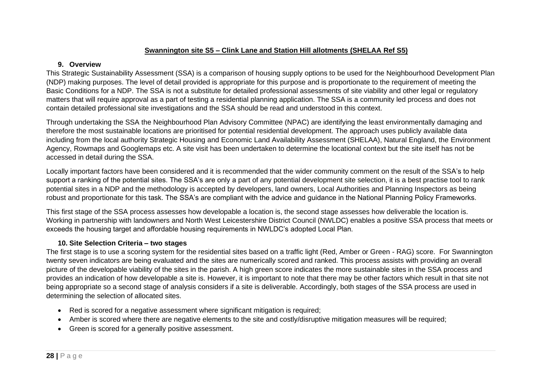# **Swannington site S5 – Clink Lane and Station Hill allotments (SHELAA Ref S5)**

## **9. Overview**

This Strategic Sustainability Assessment (SSA) is a comparison of housing supply options to be used for the Neighbourhood Development Plan (NDP) making purposes. The level of detail provided is appropriate for this purpose and is proportionate to the requirement of meeting the Basic Conditions for a NDP. The SSA is not a substitute for detailed professional assessments of site viability and other legal or regulatory matters that will require approval as a part of testing a residential planning application. The SSA is a community led process and does not contain detailed professional site investigations and the SSA should be read and understood in this context.

Through undertaking the SSA the Neighbourhood Plan Advisory Committee (NPAC) are identifying the least environmentally damaging and therefore the most sustainable locations are prioritised for potential residential development. The approach uses publicly available data including from the local authority Strategic Housing and Economic Land Availability Assessment (SHELAA), Natural England, the Environment Agency, Rowmaps and Googlemaps etc. A site visit has been undertaken to determine the locational context but the site itself has not be accessed in detail during the SSA.

Locally important factors have been considered and it is recommended that the wider community comment on the result of the SSA's to help support a ranking of the potential sites. The SSA's are only a part of any potential development site selection, it is a best practise tool to rank potential sites in a NDP and the methodology is accepted by developers, land owners, Local Authorities and Planning Inspectors as being robust and proportionate for this task. The SSA's are compliant with the advice and guidance in the National Planning Policy Frameworks.

This first stage of the SSA process assesses how developable a location is, the second stage assesses how deliverable the location is. Working in partnership with landowners and North West Leicestershire District Council (NWLDC) enables a positive SSA process that meets or exceeds the housing target and affordable housing requirements in NWLDC's adopted Local Plan.

# **10. Site Selection Criteria – two stages**

- Red is scored for a negative assessment where significant mitigation is required;
- Amber is scored where there are negative elements to the site and costly/disruptive mitigation measures will be required;
- Green is scored for a generally positive assessment.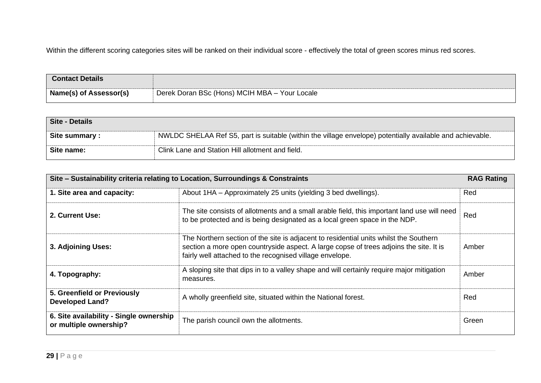| <b>Contact Details</b>        |                                               |
|-------------------------------|-----------------------------------------------|
| <b>Name(s) of Assessor(s)</b> | Derek Doran BSc (Hons) MCIH MBA - Your Locale |

| Site - Details |                                                                                                           |
|----------------|-----------------------------------------------------------------------------------------------------------|
| Site summary:  | NWLDC SHELAA Ref S5, part is suitable (within the village envelope) potentially available and achievable. |
| Site name:     | Clink Lane and Station Hill allotment and field.                                                          |

| Site - Sustainability criteria relating to Location, Surroundings & Constraints |                                                                                                                                                                                                                                             | <b>RAG Rating</b> |
|---------------------------------------------------------------------------------|---------------------------------------------------------------------------------------------------------------------------------------------------------------------------------------------------------------------------------------------|-------------------|
| 1. Site area and capacity:                                                      | About 1HA - Approximately 25 units (yielding 3 bed dwellings).                                                                                                                                                                              | Red               |
| 2. Current Use:                                                                 | The site consists of allotments and a small arable field, this important land use will need<br>to be protected and is being designated as a local green space in the NDP.                                                                   | Red               |
| 3. Adjoining Uses:                                                              | The Northern section of the site is adjacent to residential units whilst the Southern<br>section a more open countryside aspect. A large copse of trees adjoins the site. It is<br>fairly well attached to the recognised village envelope. | Amber             |
| 4. Topography:                                                                  | A sloping site that dips in to a valley shape and will certainly require major mitigation<br>measures.                                                                                                                                      | Amber             |
| 5. Greenfield or Previously<br><b>Developed Land?</b>                           | A wholly greenfield site, situated within the National forest.                                                                                                                                                                              | Red               |
| 6. Site availability - Single ownership<br>or multiple ownership?               | The parish council own the allotments.                                                                                                                                                                                                      | Green             |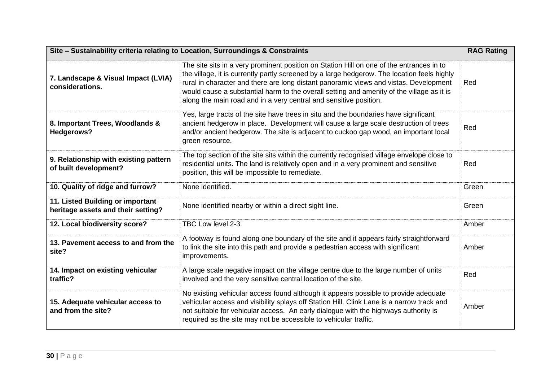| Site - Sustainability criteria relating to Location, Surroundings & Constraints<br><b>RAG Rating</b> |                                                                                                                                                                                                                                                                                                                                                                                                                                                           |       |  |
|------------------------------------------------------------------------------------------------------|-----------------------------------------------------------------------------------------------------------------------------------------------------------------------------------------------------------------------------------------------------------------------------------------------------------------------------------------------------------------------------------------------------------------------------------------------------------|-------|--|
| 7. Landscape & Visual Impact (LVIA)<br>considerations.                                               | The site sits in a very prominent position on Station Hill on one of the entrances in to<br>the village, it is currently partly screened by a large hedgerow. The location feels highly<br>rural in character and there are long distant panoramic views and vistas. Development<br>Red<br>would cause a substantial harm to the overall setting and amenity of the village as it is<br>along the main road and in a very central and sensitive position. |       |  |
| 8. Important Trees, Woodlands &<br><b>Hedgerows?</b>                                                 | Yes, large tracts of the site have trees in situ and the boundaries have significant<br>ancient hedgerow in place. Development will cause a large scale destruction of trees<br>and/or ancient hedgerow. The site is adjacent to cuckoo gap wood, an important local<br>green resource.                                                                                                                                                                   | Red   |  |
| 9. Relationship with existing pattern<br>of built development?                                       | The top section of the site sits within the currently recognised village envelope close to<br>residential units. The land is relatively open and in a very prominent and sensitive<br>position, this will be impossible to remediate.                                                                                                                                                                                                                     | Red   |  |
| 10. Quality of ridge and furrow?                                                                     | None identified.                                                                                                                                                                                                                                                                                                                                                                                                                                          | Green |  |
| 11. Listed Building or important<br>heritage assets and their setting?                               | None identified nearby or within a direct sight line.                                                                                                                                                                                                                                                                                                                                                                                                     | Green |  |
| 12. Local biodiversity score?                                                                        | TBC Low level 2-3.                                                                                                                                                                                                                                                                                                                                                                                                                                        | Amber |  |
| 13. Pavement access to and from the<br>site?                                                         | A footway is found along one boundary of the site and it appears fairly straightforward<br>to link the site into this path and provide a pedestrian access with significant<br>improvements.                                                                                                                                                                                                                                                              | Amber |  |
| 14. Impact on existing vehicular<br>traffic?                                                         | A large scale negative impact on the village centre due to the large number of units<br>involved and the very sensitive central location of the site.                                                                                                                                                                                                                                                                                                     | Red   |  |
| 15. Adequate vehicular access to<br>and from the site?                                               | No existing vehicular access found although it appears possible to provide adequate<br>vehicular access and visibility splays off Station Hill. Clink Lane is a narrow track and<br>not suitable for vehicular access. An early dialogue with the highways authority is<br>required as the site may not be accessible to vehicular traffic.                                                                                                               | Amber |  |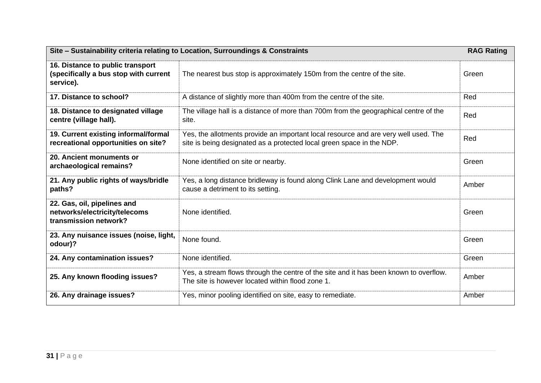| Site - Sustainability criteria relating to Location, Surroundings & Constraints<br><b>RAG Rating</b> |                                                                                                                                                              |       |
|------------------------------------------------------------------------------------------------------|--------------------------------------------------------------------------------------------------------------------------------------------------------------|-------|
| 16. Distance to public transport<br>(specifically a bus stop with current<br>service).               | The nearest bus stop is approximately 150m from the centre of the site.<br>Green                                                                             |       |
| 17. Distance to school?                                                                              | A distance of slightly more than 400m from the centre of the site.                                                                                           | Red   |
| 18. Distance to designated village<br>centre (village hall).                                         | The village hall is a distance of more than 700m from the geographical centre of the<br>site.                                                                | Red   |
| 19. Current existing informal/formal<br>recreational opportunities on site?                          | Yes, the allotments provide an important local resource and are very well used. The<br>site is being designated as a protected local green space in the NDP. | Red   |
| 20. Ancient monuments or<br>archaeological remains?                                                  | None identified on site or nearby.                                                                                                                           | Green |
| 21. Any public rights of ways/bridle<br>paths?                                                       | Yes, a long distance bridleway is found along Clink Lane and development would<br>cause a detriment to its setting.                                          | Amber |
| 22. Gas, oil, pipelines and<br>networks/electricity/telecoms<br>transmission network?                | None identified.                                                                                                                                             | Green |
| 23. Any nuisance issues (noise, light,<br>odour)?                                                    | None found.                                                                                                                                                  | Green |
| 24. Any contamination issues?                                                                        | None identified.                                                                                                                                             | Green |
| 25. Any known flooding issues?                                                                       | Yes, a stream flows through the centre of the site and it has been known to overflow.<br>The site is however located within flood zone 1.                    | Amber |
| 26. Any drainage issues?                                                                             | Yes, minor pooling identified on site, easy to remediate.                                                                                                    | Amber |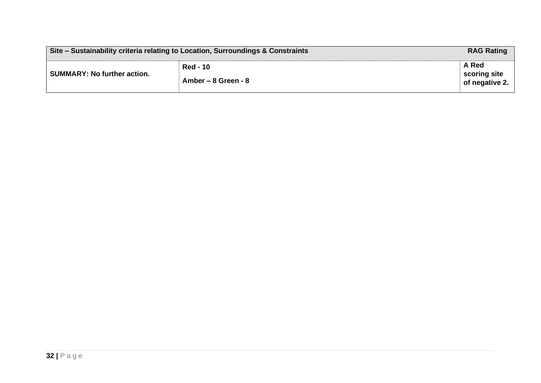|                                    | Site – Sustainability criteria relating to Location, Surroundings & Constraints | <b>RAG Rating</b>                       |
|------------------------------------|---------------------------------------------------------------------------------|-----------------------------------------|
| <b>SUMMARY: No further action.</b> | <b>Red - 10</b><br>Amber – 8 Green - 8                                          | A Red<br>scoring site<br>of negative 2. |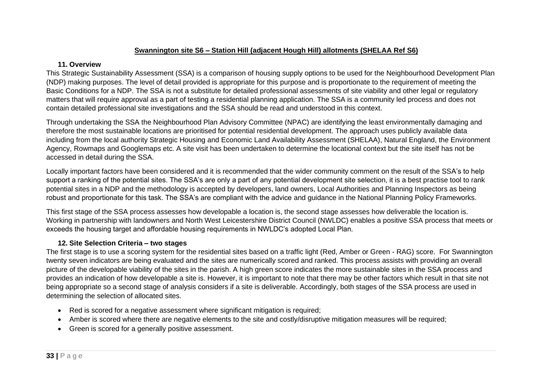# **Swannington site S6 – Station Hill (adjacent Hough Hill) allotments (SHELAA Ref S6)**

#### **11. Overview**

This Strategic Sustainability Assessment (SSA) is a comparison of housing supply options to be used for the Neighbourhood Development Plan (NDP) making purposes. The level of detail provided is appropriate for this purpose and is proportionate to the requirement of meeting the Basic Conditions for a NDP. The SSA is not a substitute for detailed professional assessments of site viability and other legal or regulatory matters that will require approval as a part of testing a residential planning application. The SSA is a community led process and does not contain detailed professional site investigations and the SSA should be read and understood in this context.

Through undertaking the SSA the Neighbourhood Plan Advisory Committee (NPAC) are identifying the least environmentally damaging and therefore the most sustainable locations are prioritised for potential residential development. The approach uses publicly available data including from the local authority Strategic Housing and Economic Land Availability Assessment (SHELAA), Natural England, the Environment Agency, Rowmaps and Googlemaps etc. A site visit has been undertaken to determine the locational context but the site itself has not be accessed in detail during the SSA.

Locally important factors have been considered and it is recommended that the wider community comment on the result of the SSA's to help support a ranking of the potential sites. The SSA's are only a part of any potential development site selection, it is a best practise tool to rank potential sites in a NDP and the methodology is accepted by developers, land owners, Local Authorities and Planning Inspectors as being robust and proportionate for this task. The SSA's are compliant with the advice and guidance in the National Planning Policy Frameworks.

This first stage of the SSA process assesses how developable a location is, the second stage assesses how deliverable the location is. Working in partnership with landowners and North West Leicestershire District Council (NWLDC) enables a positive SSA process that meets or exceeds the housing target and affordable housing requirements in NWLDC's adopted Local Plan.

# **12. Site Selection Criteria – two stages**

- Red is scored for a negative assessment where significant mitigation is required;
- Amber is scored where there are negative elements to the site and costly/disruptive mitigation measures will be required;
- Green is scored for a generally positive assessment.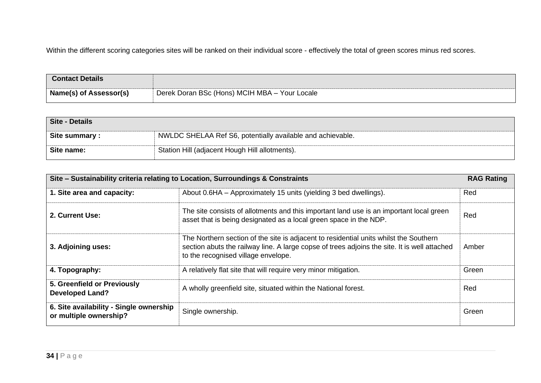| <b>Contact Details</b>        |                                               |
|-------------------------------|-----------------------------------------------|
| <b>Name(s) of Assessor(s)</b> | Derek Doran BSc (Hons) MCIH MBA - Your Locale |

| Site - Details |                                                            |
|----------------|------------------------------------------------------------|
| Site summary:  | NWLDC SHELAA Ref S6, potentially available and achievable. |
| Site name:     | Station Hill (adjacent Hough Hill allotments).             |

| Site – Sustainability criteria relating to Location, Surroundings & Constraints |                                                                                                                                                                                                                              | <b>RAG Rating</b> |
|---------------------------------------------------------------------------------|------------------------------------------------------------------------------------------------------------------------------------------------------------------------------------------------------------------------------|-------------------|
| 1. Site area and capacity:                                                      | About 0.6HA – Approximately 15 units (yielding 3 bed dwellings).                                                                                                                                                             | Red               |
| 2. Current Use:                                                                 | The site consists of allotments and this important land use is an important local green<br>asset that is being designated as a local green space in the NDP.                                                                 | Red               |
| 3. Adjoining uses:                                                              | The Northern section of the site is adjacent to residential units whilst the Southern<br>section abuts the railway line. A large copse of trees adjoins the site. It is well attached<br>to the recognised village envelope. | Amber             |
| 4. Topography:                                                                  | A relatively flat site that will require very minor mitigation.                                                                                                                                                              | Green             |
| 5. Greenfield or Previously<br><b>Developed Land?</b>                           | A wholly greenfield site, situated within the National forest.                                                                                                                                                               | Red               |
| 6. Site availability - Single ownership<br>or multiple ownership?               | Single ownership.                                                                                                                                                                                                            | Green             |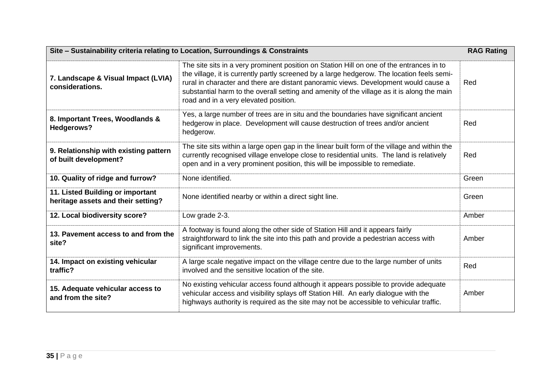| Site - Sustainability criteria relating to Location, Surroundings & Constraints |                                                                                                                                                                                                                                                                                                                                                                                                                      | <b>RAG Rating</b> |
|---------------------------------------------------------------------------------|----------------------------------------------------------------------------------------------------------------------------------------------------------------------------------------------------------------------------------------------------------------------------------------------------------------------------------------------------------------------------------------------------------------------|-------------------|
| 7. Landscape & Visual Impact (LVIA)<br>considerations.                          | The site sits in a very prominent position on Station Hill on one of the entrances in to<br>the village, it is currently partly screened by a large hedgerow. The location feels semi-<br>rural in character and there are distant panoramic views. Development would cause a<br>substantial harm to the overall setting and amenity of the village as it is along the main<br>road and in a very elevated position. | Red               |
| 8. Important Trees, Woodlands &<br>Hedgerows?                                   | Yes, a large number of trees are in situ and the boundaries have significant ancient<br>hedgerow in place. Development will cause destruction of trees and/or ancient<br>hedgerow.                                                                                                                                                                                                                                   | Red               |
| 9. Relationship with existing pattern<br>of built development?                  | The site sits within a large open gap in the linear built form of the village and within the<br>currently recognised village envelope close to residential units. The land is relatively<br>open and in a very prominent position, this will be impossible to remediate.                                                                                                                                             | Red               |
| 10. Quality of ridge and furrow?                                                | None identified.                                                                                                                                                                                                                                                                                                                                                                                                     | Green             |
| 11. Listed Building or important<br>heritage assets and their setting?          | None identified nearby or within a direct sight line.                                                                                                                                                                                                                                                                                                                                                                | Green             |
| 12. Local biodiversity score?                                                   | Low grade 2-3.                                                                                                                                                                                                                                                                                                                                                                                                       | Amber             |
| 13. Pavement access to and from the<br>site?                                    | A footway is found along the other side of Station Hill and it appears fairly<br>straightforward to link the site into this path and provide a pedestrian access with<br>significant improvements.                                                                                                                                                                                                                   | Amber             |
| 14. Impact on existing vehicular<br>traffic?                                    | A large scale negative impact on the village centre due to the large number of units<br>involved and the sensitive location of the site.                                                                                                                                                                                                                                                                             | Red               |
| 15. Adequate vehicular access to<br>and from the site?                          | No existing vehicular access found although it appears possible to provide adequate<br>vehicular access and visibility splays off Station Hill. An early dialogue with the<br>highways authority is required as the site may not be accessible to vehicular traffic.                                                                                                                                                 | Amber             |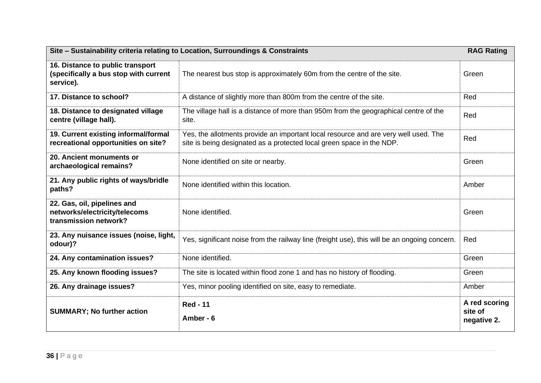| Site - Sustainability criteria relating to Location, Surroundings & Constraints<br><b>RAG Rating</b> |                                                                                                                                                              |                                         |
|------------------------------------------------------------------------------------------------------|--------------------------------------------------------------------------------------------------------------------------------------------------------------|-----------------------------------------|
| 16. Distance to public transport<br>(specifically a bus stop with current<br>service).               | The nearest bus stop is approximately 60m from the centre of the site.                                                                                       | Green                                   |
| 17. Distance to school?                                                                              | A distance of slightly more than 800m from the centre of the site.                                                                                           | Red                                     |
| 18. Distance to designated village<br>centre (village hall).                                         | The village hall is a distance of more than 950m from the geographical centre of the<br>site.                                                                | Red                                     |
| 19. Current existing informal/formal<br>recreational opportunities on site?                          | Yes, the allotments provide an important local resource and are very well used. The<br>site is being designated as a protected local green space in the NDP. | Red                                     |
| 20. Ancient monuments or<br>archaeological remains?                                                  | None identified on site or nearby.                                                                                                                           | Green                                   |
| 21. Any public rights of ways/bridle<br>paths?                                                       | None identified within this location.                                                                                                                        | Amber                                   |
| 22. Gas, oil, pipelines and<br>networks/electricity/telecoms<br>transmission network?                | None identified.                                                                                                                                             | Green                                   |
| 23. Any nuisance issues (noise, light,<br>odour)?                                                    | Yes, significant noise from the railway line (freight use), this will be an ongoing concern.                                                                 | Red                                     |
| 24. Any contamination issues?                                                                        | None identified.                                                                                                                                             | Green                                   |
| 25. Any known flooding issues?                                                                       | The site is located within flood zone 1 and has no history of flooding.                                                                                      | Green                                   |
| 26. Any drainage issues?                                                                             | Yes, minor pooling identified on site, easy to remediate.                                                                                                    | Amber                                   |
| <b>SUMMARY; No further action</b>                                                                    | <b>Red - 11</b><br>Amber - 6                                                                                                                                 | A red scoring<br>site of<br>negative 2. |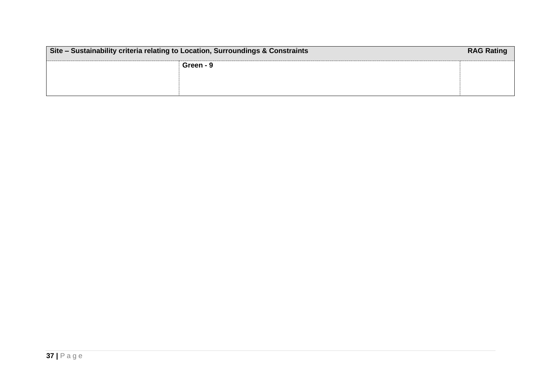| Site - Sustainability criteria relating to Location, Surroundings & Constraints |           | <b>RAG Rating</b> |
|---------------------------------------------------------------------------------|-----------|-------------------|
|                                                                                 | Green - 9 |                   |
|                                                                                 |           |                   |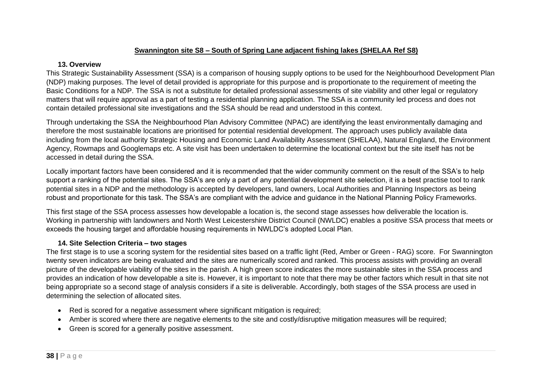# **Swannington site S8 – South of Spring Lane adjacent fishing lakes (SHELAA Ref S8)**

#### **13. Overview**

This Strategic Sustainability Assessment (SSA) is a comparison of housing supply options to be used for the Neighbourhood Development Plan (NDP) making purposes. The level of detail provided is appropriate for this purpose and is proportionate to the requirement of meeting the Basic Conditions for a NDP. The SSA is not a substitute for detailed professional assessments of site viability and other legal or regulatory matters that will require approval as a part of testing a residential planning application. The SSA is a community led process and does not contain detailed professional site investigations and the SSA should be read and understood in this context.

Through undertaking the SSA the Neighbourhood Plan Advisory Committee (NPAC) are identifying the least environmentally damaging and therefore the most sustainable locations are prioritised for potential residential development. The approach uses publicly available data including from the local authority Strategic Housing and Economic Land Availability Assessment (SHELAA), Natural England, the Environment Agency, Rowmaps and Googlemaps etc. A site visit has been undertaken to determine the locational context but the site itself has not be accessed in detail during the SSA.

Locally important factors have been considered and it is recommended that the wider community comment on the result of the SSA's to help support a ranking of the potential sites. The SSA's are only a part of any potential development site selection, it is a best practise tool to rank potential sites in a NDP and the methodology is accepted by developers, land owners, Local Authorities and Planning Inspectors as being robust and proportionate for this task. The SSA's are compliant with the advice and guidance in the National Planning Policy Frameworks.

This first stage of the SSA process assesses how developable a location is, the second stage assesses how deliverable the location is. Working in partnership with landowners and North West Leicestershire District Council (NWLDC) enables a positive SSA process that meets or exceeds the housing target and affordable housing requirements in NWLDC's adopted Local Plan.

# **14. Site Selection Criteria – two stages**

- Red is scored for a negative assessment where significant mitigation is required;
- Amber is scored where there are negative elements to the site and costly/disruptive mitigation measures will be required;
- Green is scored for a generally positive assessment.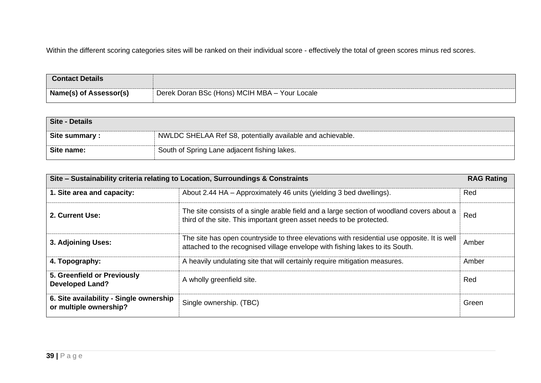| <b>Contact Details</b>        |                                               |
|-------------------------------|-----------------------------------------------|
| <b>Name(s) of Assessor(s)</b> | Derek Doran BSc (Hons) MCIH MBA - Your Locale |

| Site - Details |                                                            |
|----------------|------------------------------------------------------------|
| Site summary : | NWLDC SHELAA Ref S8, potentially available and achievable. |
| Site name:     | South of Spring Lane adjacent fishing lakes.               |

| Site – Sustainability criteria relating to Location, Surroundings & Constraints |                                                                                                                                                                             | <b>RAG Rating</b> |
|---------------------------------------------------------------------------------|-----------------------------------------------------------------------------------------------------------------------------------------------------------------------------|-------------------|
| 1. Site area and capacity:                                                      | About 2.44 HA - Approximately 46 units (yielding 3 bed dwellings).                                                                                                          | Red               |
| 2. Current Use:                                                                 | The site consists of a single arable field and a large section of woodland covers about a<br>third of the site. This important green asset needs to be protected.           | Red               |
| 3. Adjoining Uses:                                                              | The site has open countryside to three elevations with residential use opposite. It is well<br>attached to the recognised village envelope with fishing lakes to its South. | Amber             |
| 4. Topography:                                                                  | A heavily undulating site that will certainly require mitigation measures.                                                                                                  | Amber             |
| 5. Greenfield or Previously<br><b>Developed Land?</b>                           | A wholly greenfield site.                                                                                                                                                   | Red               |
| 6. Site availability - Single ownership<br>or multiple ownership?               | Single ownership. (TBC)                                                                                                                                                     | Green             |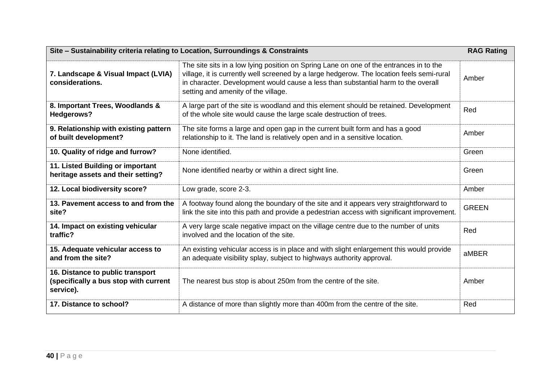| Site - Sustainability criteria relating to Location, Surroundings & Constraints        |                                                                                                                                                                                                                                                                                                                 | <b>RAG Rating</b> |
|----------------------------------------------------------------------------------------|-----------------------------------------------------------------------------------------------------------------------------------------------------------------------------------------------------------------------------------------------------------------------------------------------------------------|-------------------|
| 7. Landscape & Visual Impact (LVIA)<br>considerations.                                 | The site sits in a low lying position on Spring Lane on one of the entrances in to the<br>village, it is currently well screened by a large hedgerow. The location feels semi-rural<br>in character. Development would cause a less than substantial harm to the overall<br>setting and amenity of the village. | Amber             |
| 8. Important Trees, Woodlands &<br><b>Hedgerows?</b>                                   | A large part of the site is woodland and this element should be retained. Development<br>of the whole site would cause the large scale destruction of trees.                                                                                                                                                    | Red               |
| 9. Relationship with existing pattern<br>of built development?                         | The site forms a large and open gap in the current built form and has a good<br>relationship to it. The land is relatively open and in a sensitive location.                                                                                                                                                    | Amber             |
| 10. Quality of ridge and furrow?                                                       | None identified.                                                                                                                                                                                                                                                                                                | Green             |
| 11. Listed Building or important<br>heritage assets and their setting?                 | None identified nearby or within a direct sight line.                                                                                                                                                                                                                                                           | Green             |
| 12. Local biodiversity score?                                                          | Low grade, score 2-3.                                                                                                                                                                                                                                                                                           | Amber             |
| 13. Pavement access to and from the<br>site?                                           | A footway found along the boundary of the site and it appears very straightforward to<br>link the site into this path and provide a pedestrian access with significant improvement.                                                                                                                             | <b>GREEN</b>      |
| 14. Impact on existing vehicular<br>traffic?                                           | A very large scale negative impact on the village centre due to the number of units<br>involved and the location of the site.                                                                                                                                                                                   | Red               |
| 15. Adequate vehicular access to<br>and from the site?                                 | An existing vehicular access is in place and with slight enlargement this would provide<br>an adequate visibility splay, subject to highways authority approval.                                                                                                                                                | aMBER             |
| 16. Distance to public transport<br>(specifically a bus stop with current<br>service). | The nearest bus stop is about 250m from the centre of the site.                                                                                                                                                                                                                                                 | Amber             |
| 17. Distance to school?                                                                | A distance of more than slightly more than 400m from the centre of the site.                                                                                                                                                                                                                                    | Red               |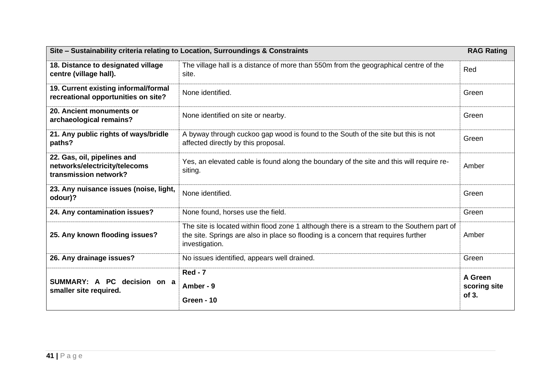| Site - Sustainability criteria relating to Location, Surroundings & Constraints       |                                                                                                                                                                                                    | <b>RAG Rating</b>                |
|---------------------------------------------------------------------------------------|----------------------------------------------------------------------------------------------------------------------------------------------------------------------------------------------------|----------------------------------|
| 18. Distance to designated village<br>centre (village hall).                          | The village hall is a distance of more than 550m from the geographical centre of the<br>site.                                                                                                      | Red                              |
| 19. Current existing informal/formal<br>recreational opportunities on site?           | None identified.                                                                                                                                                                                   | Green                            |
| 20. Ancient monuments or<br>archaeological remains?                                   | None identified on site or nearby.                                                                                                                                                                 | Green                            |
| 21. Any public rights of ways/bridle<br>paths?                                        | A byway through cuckoo gap wood is found to the South of the site but this is not<br>affected directly by this proposal.                                                                           | Green                            |
| 22. Gas, oil, pipelines and<br>networks/electricity/telecoms<br>transmission network? | Yes, an elevated cable is found along the boundary of the site and this will require re-<br>siting.                                                                                                | Amber                            |
| 23. Any nuisance issues (noise, light,<br>odour)?                                     | None identified.                                                                                                                                                                                   | Green                            |
| 24. Any contamination issues?                                                         | None found, horses use the field.                                                                                                                                                                  | Green                            |
| 25. Any known flooding issues?                                                        | The site is located within flood zone 1 although there is a stream to the Southern part of<br>the site. Springs are also in place so flooding is a concern that requires further<br>investigation. | Amber                            |
| 26. Any drainage issues?                                                              | No issues identified, appears well drained.                                                                                                                                                        | Green                            |
| SUMMARY: A PC decision on a<br>smaller site required.                                 | <b>Red - 7</b><br>Amber - 9<br>Green - 10                                                                                                                                                          | A Green<br>scoring site<br>of 3. |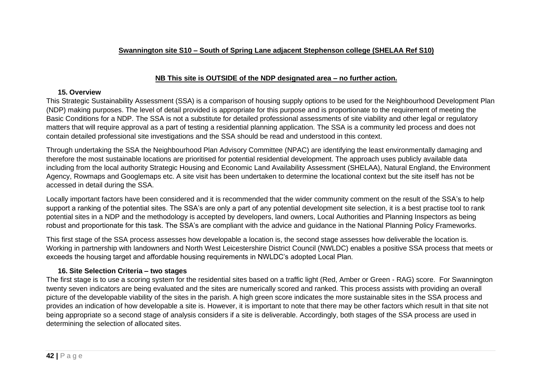# **NB This site is OUTSIDE of the NDP designated area – no further action.**

### **15. Overview**

This Strategic Sustainability Assessment (SSA) is a comparison of housing supply options to be used for the Neighbourhood Development Plan (NDP) making purposes. The level of detail provided is appropriate for this purpose and is proportionate to the requirement of meeting the Basic Conditions for a NDP. The SSA is not a substitute for detailed professional assessments of site viability and other legal or regulatory matters that will require approval as a part of testing a residential planning application. The SSA is a community led process and does not contain detailed professional site investigations and the SSA should be read and understood in this context.

Through undertaking the SSA the Neighbourhood Plan Advisory Committee (NPAC) are identifying the least environmentally damaging and therefore the most sustainable locations are prioritised for potential residential development. The approach uses publicly available data including from the local authority Strategic Housing and Economic Land Availability Assessment (SHELAA), Natural England, the Environment Agency, Rowmaps and Googlemaps etc. A site visit has been undertaken to determine the locational context but the site itself has not be accessed in detail during the SSA.

Locally important factors have been considered and it is recommended that the wider community comment on the result of the SSA's to help support a ranking of the potential sites. The SSA's are only a part of any potential development site selection, it is a best practise tool to rank potential sites in a NDP and the methodology is accepted by developers, land owners, Local Authorities and Planning Inspectors as being robust and proportionate for this task. The SSA's are compliant with the advice and guidance in the National Planning Policy Frameworks.

This first stage of the SSA process assesses how developable a location is, the second stage assesses how deliverable the location is. Working in partnership with landowners and North West Leicestershire District Council (NWLDC) enables a positive SSA process that meets or exceeds the housing target and affordable housing requirements in NWLDC's adopted Local Plan.

# **16. Site Selection Criteria – two stages**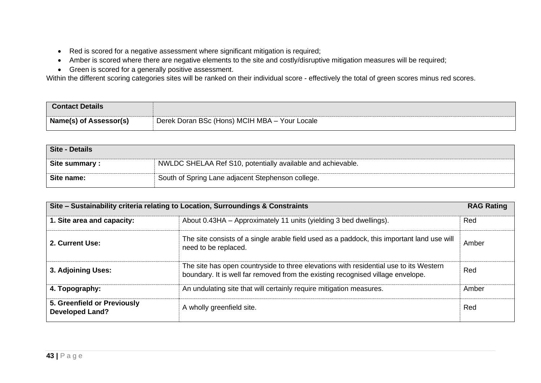- Red is scored for a negative assessment where significant mitigation is required;
- Amber is scored where there are negative elements to the site and costly/disruptive mitigation measures will be required;
- Green is scored for a generally positive assessment.

| <b>Contact Details</b> |                                               |
|------------------------|-----------------------------------------------|
| Name(s) of Assessor(s) | Derek Doran BSc (Hons) MCIH MBA - Your Locale |

| Site - Details |                                                             |
|----------------|-------------------------------------------------------------|
| Site summary:  | NWLDC SHELAA Ref S10, potentially available and achievable. |
| Site name:     | South of Spring Lane adjacent Stephenson college.           |

| Site - Sustainability criteria relating to Location, Surroundings & Constraints |                                                                                                                                                                          | <b>RAG Rating</b> |
|---------------------------------------------------------------------------------|--------------------------------------------------------------------------------------------------------------------------------------------------------------------------|-------------------|
| 1. Site area and capacity:                                                      | About 0.43HA – Approximately 11 units (yielding 3 bed dwellings).                                                                                                        | Red               |
| 2. Current Use:                                                                 | The site consists of a single arable field used as a paddock, this important land use will<br>need to be replaced.                                                       | Amber             |
| 3. Adjoining Uses:                                                              | The site has open countryside to three elevations with residential use to its Western<br>boundary. It is well far removed from the existing recognised village envelope. | Red               |
| 4. Topography:                                                                  | An undulating site that will certainly require mitigation measures.                                                                                                      | Amber             |
| 5. Greenfield or Previously<br><b>Developed Land?</b>                           | A wholly greenfield site.                                                                                                                                                | Red               |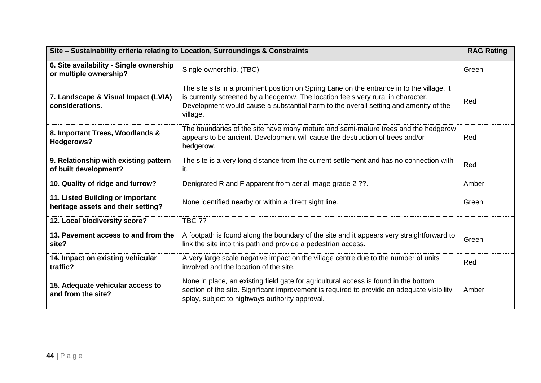| Site - Sustainability criteria relating to Location, Surroundings & Constraints |                                                                                                                                                                                                                                                                                    | <b>RAG Rating</b> |
|---------------------------------------------------------------------------------|------------------------------------------------------------------------------------------------------------------------------------------------------------------------------------------------------------------------------------------------------------------------------------|-------------------|
| 6. Site availability - Single ownership<br>or multiple ownership?               | Single ownership. (TBC)                                                                                                                                                                                                                                                            | Green             |
| 7. Landscape & Visual Impact (LVIA)<br>considerations.                          | The site sits in a prominent position on Spring Lane on the entrance in to the village, it<br>is currently screened by a hedgerow. The location feels very rural in character.<br>Development would cause a substantial harm to the overall setting and amenity of the<br>village. | Red               |
| 8. Important Trees, Woodlands &<br>Hedgerows?                                   | The boundaries of the site have many mature and semi-mature trees and the hedgerow<br>appears to be ancient. Development will cause the destruction of trees and/or<br>hedgerow.                                                                                                   | Red               |
| 9. Relationship with existing pattern<br>of built development?                  | The site is a very long distance from the current settlement and has no connection with<br>it.                                                                                                                                                                                     | Red               |
| 10. Quality of ridge and furrow?                                                | Denigrated R and F apparent from aerial image grade 2 ??.                                                                                                                                                                                                                          | Amber             |
| 11. Listed Building or important<br>heritage assets and their setting?          | None identified nearby or within a direct sight line.                                                                                                                                                                                                                              | Green             |
| 12. Local biodiversity score?                                                   | <b>TBC ??</b>                                                                                                                                                                                                                                                                      |                   |
| 13. Pavement access to and from the<br>site?                                    | A footpath is found along the boundary of the site and it appears very straightforward to<br>link the site into this path and provide a pedestrian access.                                                                                                                         | Green             |
| 14. Impact on existing vehicular<br>traffic?                                    | A very large scale negative impact on the village centre due to the number of units<br>involved and the location of the site.                                                                                                                                                      | Red               |
| 15. Adequate vehicular access to<br>and from the site?                          | None in place, an existing field gate for agricultural access is found in the bottom<br>section of the site. Significant improvement is required to provide an adequate visibility<br>splay, subject to highways authority approval.                                               | Amber             |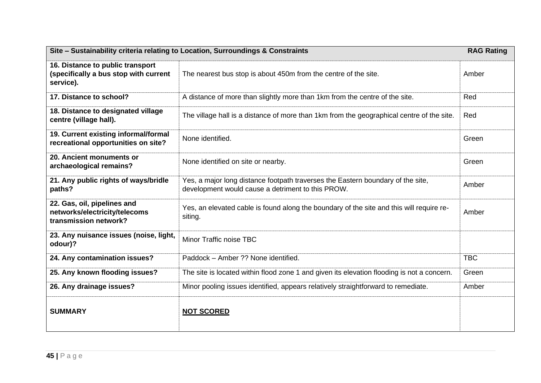| Site - Sustainability criteria relating to Location, Surroundings & Constraints<br><b>RAG Rating</b> |                                                                                                                                      |            |
|------------------------------------------------------------------------------------------------------|--------------------------------------------------------------------------------------------------------------------------------------|------------|
| 16. Distance to public transport<br>(specifically a bus stop with current<br>service).               | The nearest bus stop is about 450m from the centre of the site.                                                                      | Amber      |
| 17. Distance to school?                                                                              | A distance of more than slightly more than 1km from the centre of the site.                                                          | Red        |
| 18. Distance to designated village<br>centre (village hall).                                         | The village hall is a distance of more than 1km from the geographical centre of the site.                                            | Red        |
| 19. Current existing informal/formal<br>recreational opportunities on site?                          | None identified.                                                                                                                     | Green      |
| 20. Ancient monuments or<br>archaeological remains?                                                  | None identified on site or nearby.                                                                                                   | Green      |
| 21. Any public rights of ways/bridle<br>paths?                                                       | Yes, a major long distance footpath traverses the Eastern boundary of the site,<br>development would cause a detriment to this PROW. | Amber      |
| 22. Gas, oil, pipelines and<br>networks/electricity/telecoms<br>transmission network?                | Yes, an elevated cable is found along the boundary of the site and this will require re-<br>siting.                                  | Amber      |
| 23. Any nuisance issues (noise, light,<br>odour)?                                                    | Minor Traffic noise TBC                                                                                                              |            |
| 24. Any contamination issues?                                                                        | Paddock - Amber ?? None identified.                                                                                                  | <b>TBC</b> |
| 25. Any known flooding issues?                                                                       | The site is located within flood zone 1 and given its elevation flooding is not a concern.                                           | Green      |
| 26. Any drainage issues?                                                                             | Minor pooling issues identified, appears relatively straightforward to remediate.                                                    | Amber      |
| <b>SUMMARY</b>                                                                                       | <b>NOT SCORED</b>                                                                                                                    |            |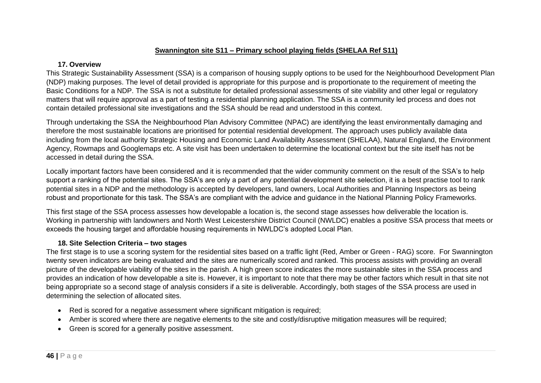### **Swannington site S11 – Primary school playing fields (SHELAA Ref S11)**

#### **17. Overview**

This Strategic Sustainability Assessment (SSA) is a comparison of housing supply options to be used for the Neighbourhood Development Plan (NDP) making purposes. The level of detail provided is appropriate for this purpose and is proportionate to the requirement of meeting the Basic Conditions for a NDP. The SSA is not a substitute for detailed professional assessments of site viability and other legal or regulatory matters that will require approval as a part of testing a residential planning application. The SSA is a community led process and does not contain detailed professional site investigations and the SSA should be read and understood in this context.

Through undertaking the SSA the Neighbourhood Plan Advisory Committee (NPAC) are identifying the least environmentally damaging and therefore the most sustainable locations are prioritised for potential residential development. The approach uses publicly available data including from the local authority Strategic Housing and Economic Land Availability Assessment (SHELAA), Natural England, the Environment Agency, Rowmaps and Googlemaps etc. A site visit has been undertaken to determine the locational context but the site itself has not be accessed in detail during the SSA.

Locally important factors have been considered and it is recommended that the wider community comment on the result of the SSA's to help support a ranking of the potential sites. The SSA's are only a part of any potential development site selection, it is a best practise tool to rank potential sites in a NDP and the methodology is accepted by developers, land owners, Local Authorities and Planning Inspectors as being robust and proportionate for this task. The SSA's are compliant with the advice and guidance in the National Planning Policy Frameworks.

This first stage of the SSA process assesses how developable a location is, the second stage assesses how deliverable the location is. Working in partnership with landowners and North West Leicestershire District Council (NWLDC) enables a positive SSA process that meets or exceeds the housing target and affordable housing requirements in NWLDC's adopted Local Plan.

# **18. Site Selection Criteria – two stages**

- Red is scored for a negative assessment where significant mitigation is required;
- Amber is scored where there are negative elements to the site and costly/disruptive mitigation measures will be required;
- Green is scored for a generally positive assessment.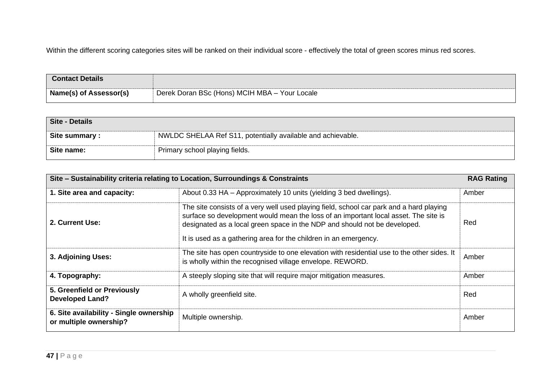| <b>Contact Details</b> |                                               |
|------------------------|-----------------------------------------------|
| Name(s) of Assessor(s) | Derek Doran BSc (Hons) MCIH MBA - Your Locale |

| Site - Details |                                                             |
|----------------|-------------------------------------------------------------|
| Site summary:  | NWLDC SHELAA Ref S11, potentially available and achievable. |
| Site name:     | Primary school playing fields.                              |

| Site - Sustainability criteria relating to Location, Surroundings & Constraints |                                                                                                                                                                                                                                                                                                                                 | <b>RAG Rating</b> |
|---------------------------------------------------------------------------------|---------------------------------------------------------------------------------------------------------------------------------------------------------------------------------------------------------------------------------------------------------------------------------------------------------------------------------|-------------------|
| 1. Site area and capacity:                                                      | About 0.33 HA - Approximately 10 units (yielding 3 bed dwellings).                                                                                                                                                                                                                                                              | Amber             |
| 2. Current Use:                                                                 | The site consists of a very well used playing field, school car park and a hard playing<br>surface so development would mean the loss of an important local asset. The site is<br>designated as a local green space in the NDP and should not be developed.<br>It is used as a gathering area for the children in an emergency. | Red               |
| 3. Adjoining Uses:                                                              | The site has open countryside to one elevation with residential use to the other sides. It<br>is wholly within the recognised village envelope. REWORD.                                                                                                                                                                         | Amber             |
| 4. Topography:                                                                  | A steeply sloping site that will require major mitigation measures.                                                                                                                                                                                                                                                             | Amber             |
| 5. Greenfield or Previously<br><b>Developed Land?</b>                           | A wholly greenfield site.                                                                                                                                                                                                                                                                                                       | Red               |
| 6. Site availability - Single ownership<br>or multiple ownership?               | Multiple ownership.                                                                                                                                                                                                                                                                                                             | Amber             |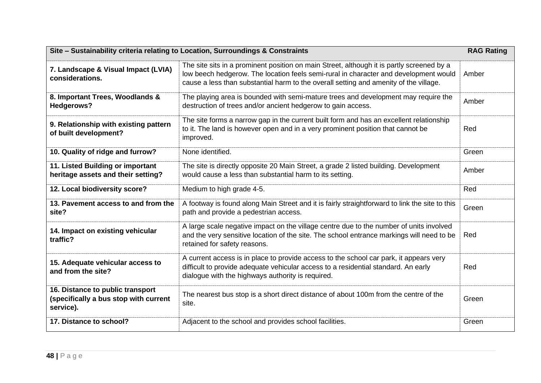| Site - Sustainability criteria relating to Location, Surroundings & Constraints        |                                                                                                                                                                                                                                                                            | <b>RAG Rating</b> |
|----------------------------------------------------------------------------------------|----------------------------------------------------------------------------------------------------------------------------------------------------------------------------------------------------------------------------------------------------------------------------|-------------------|
| 7. Landscape & Visual Impact (LVIA)<br>considerations.                                 | The site sits in a prominent position on main Street, although it is partly screened by a<br>low beech hedgerow. The location feels semi-rural in character and development would<br>cause a less than substantial harm to the overall setting and amenity of the village. | Amber             |
| 8. Important Trees, Woodlands &<br>Hedgerows?                                          | The playing area is bounded with semi-mature trees and development may require the<br>destruction of trees and/or ancient hedgerow to gain access.                                                                                                                         | Amber             |
| 9. Relationship with existing pattern<br>of built development?                         | The site forms a narrow gap in the current built form and has an excellent relationship<br>to it. The land is however open and in a very prominent position that cannot be<br>improved.                                                                                    | Red               |
| 10. Quality of ridge and furrow?                                                       | None identified.                                                                                                                                                                                                                                                           | Green             |
| 11. Listed Building or important<br>heritage assets and their setting?                 | The site is directly opposite 20 Main Street, a grade 2 listed building. Development<br>would cause a less than substantial harm to its setting.                                                                                                                           | Amber             |
| 12. Local biodiversity score?                                                          | Medium to high grade 4-5.                                                                                                                                                                                                                                                  | Red               |
| 13. Pavement access to and from the<br>site?                                           | A footway is found along Main Street and it is fairly straightforward to link the site to this<br>path and provide a pedestrian access.                                                                                                                                    | Green             |
| 14. Impact on existing vehicular<br>traffic?                                           | A large scale negative impact on the village centre due to the number of units involved<br>and the very sensitive location of the site. The school entrance markings will need to be<br>retained for safety reasons.                                                       | Red               |
| 15. Adequate vehicular access to<br>and from the site?                                 | A current access is in place to provide access to the school car park, it appears very<br>difficult to provide adequate vehicular access to a residential standard. An early<br>dialogue with the highways authority is required.                                          | Red               |
| 16. Distance to public transport<br>(specifically a bus stop with current<br>service). | The nearest bus stop is a short direct distance of about 100m from the centre of the<br>site.                                                                                                                                                                              | Green             |
| 17. Distance to school?                                                                | Adjacent to the school and provides school facilities.                                                                                                                                                                                                                     | Green             |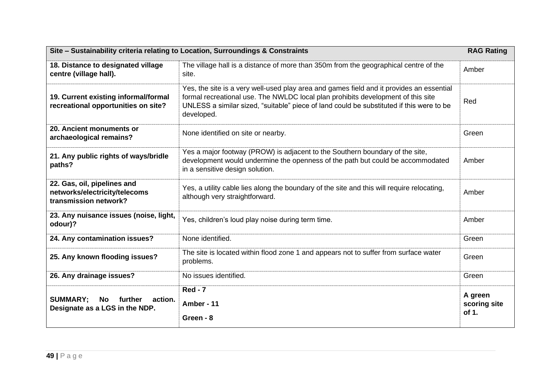| Site - Sustainability criteria relating to Location, Surroundings & Constraints       |                                                                                                                                                                                                                                                                                        | <b>RAG Rating</b>                |
|---------------------------------------------------------------------------------------|----------------------------------------------------------------------------------------------------------------------------------------------------------------------------------------------------------------------------------------------------------------------------------------|----------------------------------|
| 18. Distance to designated village<br>centre (village hall).                          | The village hall is a distance of more than 350m from the geographical centre of the<br>site.                                                                                                                                                                                          | Amber                            |
| 19. Current existing informal/formal<br>recreational opportunities on site?           | Yes, the site is a very well-used play area and games field and it provides an essential<br>formal recreational use. The NWLDC local plan prohibits development of this site<br>UNLESS a similar sized, "suitable" piece of land could be substituted if this were to be<br>developed. | Red                              |
| 20. Ancient monuments or<br>archaeological remains?                                   | None identified on site or nearby.                                                                                                                                                                                                                                                     | Green                            |
| 21. Any public rights of ways/bridle<br>paths?                                        | Yes a major footway (PROW) is adjacent to the Southern boundary of the site,<br>development would undermine the openness of the path but could be accommodated<br>in a sensitive design solution.                                                                                      | Amber                            |
| 22. Gas, oil, pipelines and<br>networks/electricity/telecoms<br>transmission network? | Yes, a utility cable lies along the boundary of the site and this will require relocating,<br>although very straightforward.                                                                                                                                                           | Amber                            |
| 23. Any nuisance issues (noise, light,<br>odour)?                                     | Yes, children's loud play noise during term time.                                                                                                                                                                                                                                      | Amber                            |
| 24. Any contamination issues?                                                         | None identified.                                                                                                                                                                                                                                                                       | Green                            |
| 25. Any known flooding issues?                                                        | The site is located within flood zone 1 and appears not to suffer from surface water<br>problems.                                                                                                                                                                                      | Green                            |
| 26. Any drainage issues?                                                              | No issues identified.                                                                                                                                                                                                                                                                  | Green                            |
| <b>SUMMARY:</b><br>No further<br>action.<br>Designate as a LGS in the NDP.            | <b>Red - 7</b><br>Amber - 11<br>Green - 8                                                                                                                                                                                                                                              | A green<br>scoring site<br>of 1. |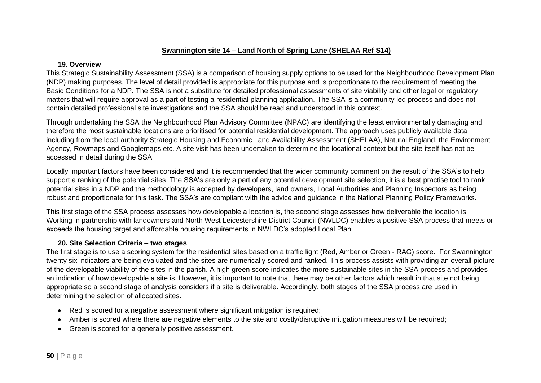## **Swannington site 14 – Land North of Spring Lane (SHELAA Ref S14)**

#### **19. Overview**

This Strategic Sustainability Assessment (SSA) is a comparison of housing supply options to be used for the Neighbourhood Development Plan (NDP) making purposes. The level of detail provided is appropriate for this purpose and is proportionate to the requirement of meeting the Basic Conditions for a NDP. The SSA is not a substitute for detailed professional assessments of site viability and other legal or regulatory matters that will require approval as a part of testing a residential planning application. The SSA is a community led process and does not contain detailed professional site investigations and the SSA should be read and understood in this context.

Through undertaking the SSA the Neighbourhood Plan Advisory Committee (NPAC) are identifying the least environmentally damaging and therefore the most sustainable locations are prioritised for potential residential development. The approach uses publicly available data including from the local authority Strategic Housing and Economic Land Availability Assessment (SHELAA), Natural England, the Environment Agency, Rowmaps and Googlemaps etc. A site visit has been undertaken to determine the locational context but the site itself has not be accessed in detail during the SSA.

Locally important factors have been considered and it is recommended that the wider community comment on the result of the SSA's to help support a ranking of the potential sites. The SSA's are only a part of any potential development site selection, it is a best practise tool to rank potential sites in a NDP and the methodology is accepted by developers, land owners, Local Authorities and Planning Inspectors as being robust and proportionate for this task. The SSA's are compliant with the advice and guidance in the National Planning Policy Frameworks.

This first stage of the SSA process assesses how developable a location is, the second stage assesses how deliverable the location is. Working in partnership with landowners and North West Leicestershire District Council (NWLDC) enables a positive SSA process that meets or exceeds the housing target and affordable housing requirements in NWLDC's adopted Local Plan.

# **20. Site Selection Criteria – two stages**

- Red is scored for a negative assessment where significant mitigation is required;
- Amber is scored where there are negative elements to the site and costly/disruptive mitigation measures will be required;
- Green is scored for a generally positive assessment.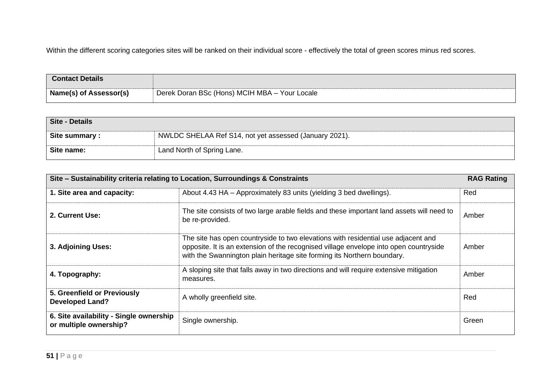| <b>Contact Details</b>        |                                               |
|-------------------------------|-----------------------------------------------|
| <b>Name(s) of Assessor(s)</b> | Derek Doran BSc (Hons) MCIH MBA - Your Locale |

| Site - Details |                                                        |
|----------------|--------------------------------------------------------|
| Site summary:  | NWLDC SHELAA Ref S14, not yet assessed (January 2021). |
| Site name:     | Land North of Spring Lane.                             |

| Site - Sustainability criteria relating to Location, Surroundings & Constraints |                                                                                                                                                                                                                                                       | <b>RAG Rating</b> |
|---------------------------------------------------------------------------------|-------------------------------------------------------------------------------------------------------------------------------------------------------------------------------------------------------------------------------------------------------|-------------------|
| 1. Site area and capacity:                                                      | About 4.43 HA – Approximately 83 units (yielding 3 bed dwellings).                                                                                                                                                                                    | Red               |
| 2. Current Use:                                                                 | The site consists of two large arable fields and these important land assets will need to<br>be re-provided.                                                                                                                                          | Amber             |
| 3. Adjoining Uses:                                                              | The site has open countryside to two elevations with residential use adjacent and<br>opposite. It is an extension of the recognised village envelope into open countryside<br>with the Swannington plain heritage site forming its Northern boundary. | Amber             |
| 4. Topography:                                                                  | A sloping site that falls away in two directions and will require extensive mitigation<br>measures.                                                                                                                                                   | Amber             |
| 5. Greenfield or Previously<br><b>Developed Land?</b>                           | A wholly greenfield site.                                                                                                                                                                                                                             | Red               |
| 6. Site availability - Single ownership<br>or multiple ownership?               | Single ownership.                                                                                                                                                                                                                                     | Green             |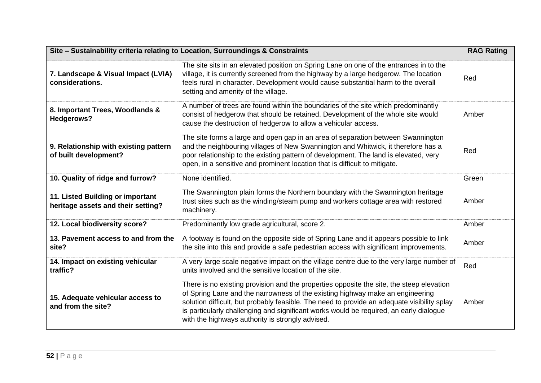| Site - Sustainability criteria relating to Location, Surroundings & Constraints |                                                                                                                                                                                                                                                                                                                                                                                                                        | <b>RAG Rating</b> |
|---------------------------------------------------------------------------------|------------------------------------------------------------------------------------------------------------------------------------------------------------------------------------------------------------------------------------------------------------------------------------------------------------------------------------------------------------------------------------------------------------------------|-------------------|
| 7. Landscape & Visual Impact (LVIA)<br>considerations.                          | The site sits in an elevated position on Spring Lane on one of the entrances in to the<br>village, it is currently screened from the highway by a large hedgerow. The location<br>feels rural in character. Development would cause substantial harm to the overall<br>setting and amenity of the village.                                                                                                             | Red               |
| 8. Important Trees, Woodlands &<br><b>Hedgerows?</b>                            | A number of trees are found within the boundaries of the site which predominantly<br>consist of hedgerow that should be retained. Development of the whole site would<br>cause the destruction of hedgerow to allow a vehicular access.                                                                                                                                                                                | Amber             |
| 9. Relationship with existing pattern<br>of built development?                  | The site forms a large and open gap in an area of separation between Swannington<br>and the neighbouring villages of New Swannington and Whitwick, it therefore has a<br>poor relationship to the existing pattern of development. The land is elevated, very<br>open, in a sensitive and prominent location that is difficult to mitigate.                                                                            | Red               |
| 10. Quality of ridge and furrow?                                                | None identified.                                                                                                                                                                                                                                                                                                                                                                                                       | Green             |
| 11. Listed Building or important<br>heritage assets and their setting?          | The Swannington plain forms the Northern boundary with the Swannington heritage<br>trust sites such as the winding/steam pump and workers cottage area with restored<br>machinery.                                                                                                                                                                                                                                     | Amber             |
| 12. Local biodiversity score?                                                   | Predominantly low grade agricultural, score 2.                                                                                                                                                                                                                                                                                                                                                                         | Amber             |
| 13. Pavement access to and from the<br>site?                                    | A footway is found on the opposite side of Spring Lane and it appears possible to link<br>the site into this and provide a safe pedestrian access with significant improvements.                                                                                                                                                                                                                                       | Amber             |
| 14. Impact on existing vehicular<br>traffic?                                    | A very large scale negative impact on the village centre due to the very large number of<br>units involved and the sensitive location of the site.                                                                                                                                                                                                                                                                     | Red               |
| 15. Adequate vehicular access to<br>and from the site?                          | There is no existing provision and the properties opposite the site, the steep elevation<br>of Spring Lane and the narrowness of the existing highway make an engineering<br>solution difficult, but probably feasible. The need to provide an adequate visibility splay<br>is particularly challenging and significant works would be required, an early dialogue<br>with the highways authority is strongly advised. | Amber             |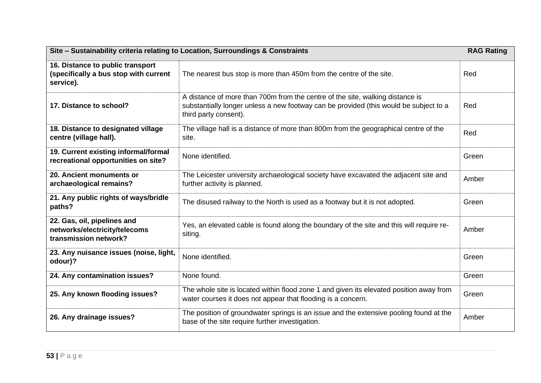| Site - Sustainability criteria relating to Location, Surroundings & Constraints        |                                                                                                                                                                                                 |       |
|----------------------------------------------------------------------------------------|-------------------------------------------------------------------------------------------------------------------------------------------------------------------------------------------------|-------|
| 16. Distance to public transport<br>(specifically a bus stop with current<br>service). | The nearest bus stop is more than 450m from the centre of the site.                                                                                                                             | Red   |
| 17. Distance to school?                                                                | A distance of more than 700m from the centre of the site, walking distance is<br>substantially longer unless a new footway can be provided (this would be subject to a<br>third party consent). | Red   |
| 18. Distance to designated village<br>centre (village hall).                           | The village hall is a distance of more than 800m from the geographical centre of the<br>site.                                                                                                   | Red   |
| 19. Current existing informal/formal<br>recreational opportunities on site?            | None identified.                                                                                                                                                                                | Green |
| 20. Ancient monuments or<br>archaeological remains?                                    | The Leicester university archaeological society have excavated the adjacent site and<br>further activity is planned.                                                                            | Amber |
| 21. Any public rights of ways/bridle<br>paths?                                         | The disused railway to the North is used as a footway but it is not adopted.                                                                                                                    | Green |
| 22. Gas, oil, pipelines and<br>networks/electricity/telecoms<br>transmission network?  | Yes, an elevated cable is found along the boundary of the site and this will require re-<br>siting.                                                                                             | Amber |
| 23. Any nuisance issues (noise, light,<br>odour)?                                      | None identified.                                                                                                                                                                                | Green |
| 24. Any contamination issues?                                                          | None found.                                                                                                                                                                                     | Green |
| 25. Any known flooding issues?                                                         | The whole site is located within flood zone 1 and given its elevated position away from<br>water courses it does not appear that flooding is a concern.                                         | Green |
| 26. Any drainage issues?                                                               | The position of groundwater springs is an issue and the extensive pooling found at the<br>base of the site require further investigation.                                                       | Amber |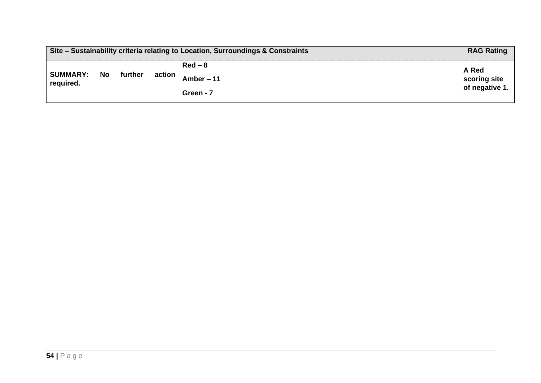| Site – Sustainability criteria relating to Location, Surroundings & Constraints |    | <b>RAG Rating</b> |        |                                     |                                         |
|---------------------------------------------------------------------------------|----|-------------------|--------|-------------------------------------|-----------------------------------------|
| <b>SUMMARY:</b><br>required.                                                    | No | further           | action | $Red-8$<br>Amber $-11$<br>Green - 7 | A Red<br>scoring site<br>of negative 1. |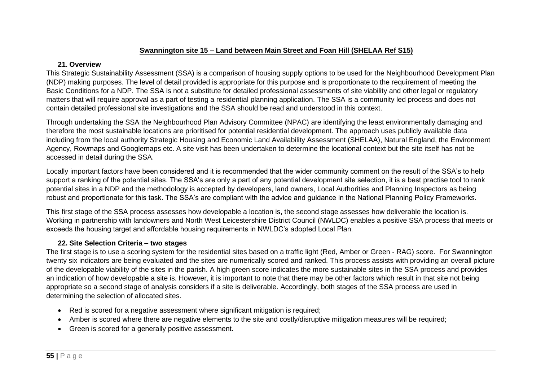# **Swannington site 15 – Land between Main Street and Foan Hill (SHELAA Ref S15)**

### **21. Overview**

This Strategic Sustainability Assessment (SSA) is a comparison of housing supply options to be used for the Neighbourhood Development Plan (NDP) making purposes. The level of detail provided is appropriate for this purpose and is proportionate to the requirement of meeting the Basic Conditions for a NDP. The SSA is not a substitute for detailed professional assessments of site viability and other legal or regulatory matters that will require approval as a part of testing a residential planning application. The SSA is a community led process and does not contain detailed professional site investigations and the SSA should be read and understood in this context.

Through undertaking the SSA the Neighbourhood Plan Advisory Committee (NPAC) are identifying the least environmentally damaging and therefore the most sustainable locations are prioritised for potential residential development. The approach uses publicly available data including from the local authority Strategic Housing and Economic Land Availability Assessment (SHELAA), Natural England, the Environment Agency, Rowmaps and Googlemaps etc. A site visit has been undertaken to determine the locational context but the site itself has not be accessed in detail during the SSA.

Locally important factors have been considered and it is recommended that the wider community comment on the result of the SSA's to help support a ranking of the potential sites. The SSA's are only a part of any potential development site selection, it is a best practise tool to rank potential sites in a NDP and the methodology is accepted by developers, land owners, Local Authorities and Planning Inspectors as being robust and proportionate for this task. The SSA's are compliant with the advice and guidance in the National Planning Policy Frameworks.

This first stage of the SSA process assesses how developable a location is, the second stage assesses how deliverable the location is. Working in partnership with landowners and North West Leicestershire District Council (NWLDC) enables a positive SSA process that meets or exceeds the housing target and affordable housing requirements in NWLDC's adopted Local Plan.

# **22. Site Selection Criteria – two stages**

- Red is scored for a negative assessment where significant mitigation is required;
- Amber is scored where there are negative elements to the site and costly/disruptive mitigation measures will be required;
- Green is scored for a generally positive assessment.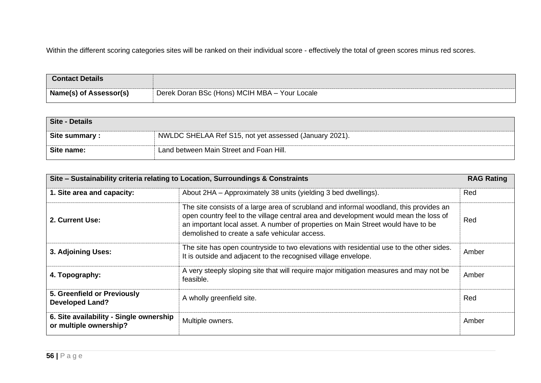| <b>Contact Details</b> |                                               |
|------------------------|-----------------------------------------------|
| Name(s) of Assessor(s) | Derek Doran BSc (Hons) MCIH MBA - Your Locale |

| Site - Details |                                                        |
|----------------|--------------------------------------------------------|
| Site summary : | NWLDC SHELAA Ref S15, not yet assessed (January 2021). |
| Site name:     | Land between Main Street and Foan Hill.                |

| Site - Sustainability criteria relating to Location, Surroundings & Constraints |                                                                                                                                                                                                                                                                                                                     |       |
|---------------------------------------------------------------------------------|---------------------------------------------------------------------------------------------------------------------------------------------------------------------------------------------------------------------------------------------------------------------------------------------------------------------|-------|
| 1. Site area and capacity:                                                      | About 2HA - Approximately 38 units (yielding 3 bed dwellings).                                                                                                                                                                                                                                                      | Red   |
| 2. Current Use:                                                                 | The site consists of a large area of scrubland and informal woodland, this provides an<br>open country feel to the village central area and development would mean the loss of<br>an important local asset. A number of properties on Main Street would have to be<br>demolished to create a safe vehicular access. | Red   |
| 3. Adjoining Uses:                                                              | The site has open countryside to two elevations with residential use to the other sides.<br>It is outside and adjacent to the recognised village envelope.                                                                                                                                                          | Amber |
| 4. Topography:                                                                  | A very steeply sloping site that will require major mitigation measures and may not be<br>feasible.                                                                                                                                                                                                                 | Amber |
| 5. Greenfield or Previously<br><b>Developed Land?</b>                           | A wholly greenfield site.                                                                                                                                                                                                                                                                                           | Red   |
| 6. Site availability - Single ownership<br>or multiple ownership?               | Multiple owners.                                                                                                                                                                                                                                                                                                    | Amber |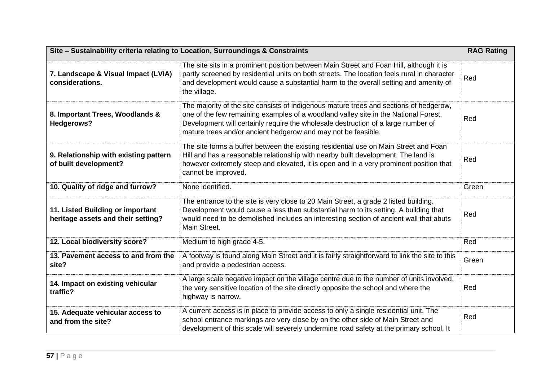| Site - Sustainability criteria relating to Location, Surroundings & Constraints |                                                                                                                                                                                                                                                                                                                                     |       |
|---------------------------------------------------------------------------------|-------------------------------------------------------------------------------------------------------------------------------------------------------------------------------------------------------------------------------------------------------------------------------------------------------------------------------------|-------|
| 7. Landscape & Visual Impact (LVIA)<br>considerations.                          | The site sits in a prominent position between Main Street and Foan Hill, although it is<br>partly screened by residential units on both streets. The location feels rural in character<br>and development would cause a substantial harm to the overall setting and amenity of<br>the village.                                      | Red   |
| 8. Important Trees, Woodlands &<br><b>Hedgerows?</b>                            | The majority of the site consists of indigenous mature trees and sections of hedgerow,<br>one of the few remaining examples of a woodland valley site in the National Forest.<br>Development will certainly require the wholesale destruction of a large number of<br>mature trees and/or ancient hedgerow and may not be feasible. | Red   |
| 9. Relationship with existing pattern<br>of built development?                  | The site forms a buffer between the existing residential use on Main Street and Foan<br>Hill and has a reasonable relationship with nearby built development. The land is<br>however extremely steep and elevated, it is open and in a very prominent position that<br>cannot be improved.                                          | Red   |
| 10. Quality of ridge and furrow?                                                | None identified.                                                                                                                                                                                                                                                                                                                    | Green |
| 11. Listed Building or important<br>heritage assets and their setting?          | The entrance to the site is very close to 20 Main Street, a grade 2 listed building.<br>Development would cause a less than substantial harm to its setting. A building that<br>would need to be demolished includes an interesting section of ancient wall that abuts<br>Main Street.                                              | Red   |
| 12. Local biodiversity score?                                                   | Medium to high grade 4-5.                                                                                                                                                                                                                                                                                                           | Red   |
| 13. Pavement access to and from the<br>site?                                    | A footway is found along Main Street and it is fairly straightforward to link the site to this<br>and provide a pedestrian access.                                                                                                                                                                                                  | Green |
| 14. Impact on existing vehicular<br>traffic?                                    | A large scale negative impact on the village centre due to the number of units involved,<br>the very sensitive location of the site directly opposite the school and where the<br>highway is narrow.                                                                                                                                | Red   |
| 15. Adequate vehicular access to<br>and from the site?                          | A current access is in place to provide access to only a single residential unit. The<br>school entrance markings are very close by on the other side of Main Street and<br>development of this scale will severely undermine road safety at the primary school. It                                                                 | Red   |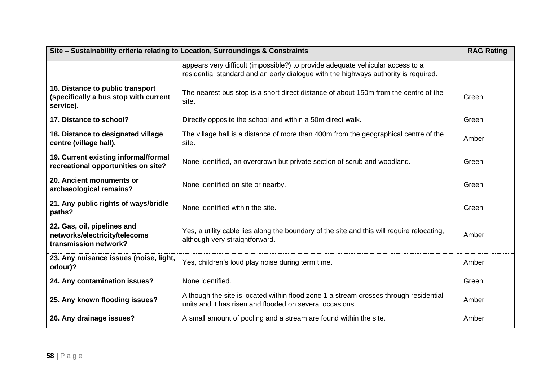| Site - Sustainability criteria relating to Location, Surroundings & Constraints        |                                                                                                                                                                       |       |
|----------------------------------------------------------------------------------------|-----------------------------------------------------------------------------------------------------------------------------------------------------------------------|-------|
|                                                                                        | appears very difficult (impossible?) to provide adequate vehicular access to a<br>residential standard and an early dialogue with the highways authority is required. |       |
| 16. Distance to public transport<br>(specifically a bus stop with current<br>service). | The nearest bus stop is a short direct distance of about 150m from the centre of the<br>site.                                                                         | Green |
| 17. Distance to school?                                                                | Directly opposite the school and within a 50m direct walk.                                                                                                            | Green |
| 18. Distance to designated village<br>centre (village hall).                           | The village hall is a distance of more than 400m from the geographical centre of the<br>site.                                                                         | Amber |
| 19. Current existing informal/formal<br>recreational opportunities on site?            | None identified, an overgrown but private section of scrub and woodland.                                                                                              | Green |
| 20. Ancient monuments or<br>archaeological remains?                                    | None identified on site or nearby.                                                                                                                                    | Green |
| 21. Any public rights of ways/bridle<br>paths?                                         | None identified within the site.                                                                                                                                      | Green |
| 22. Gas, oil, pipelines and<br>networks/electricity/telecoms<br>transmission network?  | Yes, a utility cable lies along the boundary of the site and this will require relocating,<br>although very straightforward.                                          | Amber |
| 23. Any nuisance issues (noise, light,<br>odour)?                                      | Yes, children's loud play noise during term time.                                                                                                                     | Amber |
| 24. Any contamination issues?                                                          | None identified.                                                                                                                                                      | Green |
| 25. Any known flooding issues?                                                         | Although the site is located within flood zone 1 a stream crosses through residential<br>units and it has risen and flooded on several occasions.                     | Amber |
| 26. Any drainage issues?                                                               | A small amount of pooling and a stream are found within the site.                                                                                                     | Amber |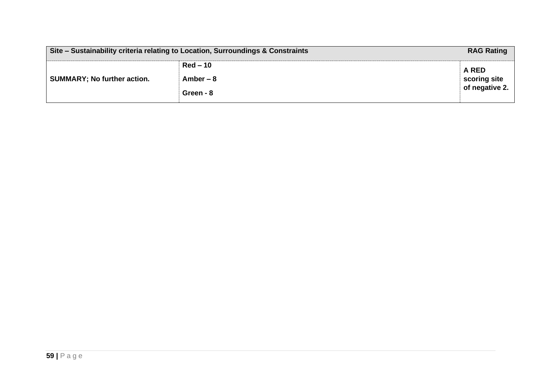| Site - Sustainability criteria relating to Location, Surroundings & Constraints |            | <b>RAG Rating</b>              |
|---------------------------------------------------------------------------------|------------|--------------------------------|
|                                                                                 | $Red-10$   | A RED                          |
| <b>SUMMARY; No further action.</b>                                              | Amber $-8$ | scoring site<br>of negative 2. |
|                                                                                 | Green - 8  |                                |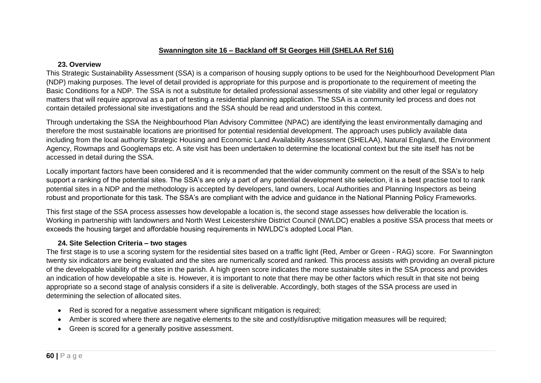## **Swannington site 16 – Backland off St Georges Hill (SHELAA Ref S16)**

#### **23. Overview**

This Strategic Sustainability Assessment (SSA) is a comparison of housing supply options to be used for the Neighbourhood Development Plan (NDP) making purposes. The level of detail provided is appropriate for this purpose and is proportionate to the requirement of meeting the Basic Conditions for a NDP. The SSA is not a substitute for detailed professional assessments of site viability and other legal or regulatory matters that will require approval as a part of testing a residential planning application. The SSA is a community led process and does not contain detailed professional site investigations and the SSA should be read and understood in this context.

Through undertaking the SSA the Neighbourhood Plan Advisory Committee (NPAC) are identifying the least environmentally damaging and therefore the most sustainable locations are prioritised for potential residential development. The approach uses publicly available data including from the local authority Strategic Housing and Economic Land Availability Assessment (SHELAA), Natural England, the Environment Agency, Rowmaps and Googlemaps etc. A site visit has been undertaken to determine the locational context but the site itself has not be accessed in detail during the SSA.

Locally important factors have been considered and it is recommended that the wider community comment on the result of the SSA's to help support a ranking of the potential sites. The SSA's are only a part of any potential development site selection, it is a best practise tool to rank potential sites in a NDP and the methodology is accepted by developers, land owners, Local Authorities and Planning Inspectors as being robust and proportionate for this task. The SSA's are compliant with the advice and guidance in the National Planning Policy Frameworks.

This first stage of the SSA process assesses how developable a location is, the second stage assesses how deliverable the location is. Working in partnership with landowners and North West Leicestershire District Council (NWLDC) enables a positive SSA process that meets or exceeds the housing target and affordable housing requirements in NWLDC's adopted Local Plan.

# **24. Site Selection Criteria – two stages**

- Red is scored for a negative assessment where significant mitigation is required;
- Amber is scored where there are negative elements to the site and costly/disruptive mitigation measures will be required;
- Green is scored for a generally positive assessment.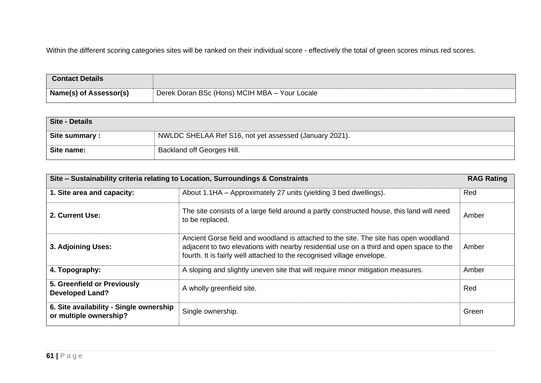| <b>Contact Details</b>        |                                               |
|-------------------------------|-----------------------------------------------|
| <b>Name(s) of Assessor(s)</b> | Derek Doran BSc (Hons) MCIH MBA - Your Locale |

| Site - Details |                                                        |
|----------------|--------------------------------------------------------|
| Site summary:  | NWLDC SHELAA Ref S16, not yet assessed (January 2021). |
| Site name:     | Backland off Georges Hill.                             |

| Site – Sustainability criteria relating to Location, Surroundings & Constraints |                                                                                                                                                                                                                                                           |       |
|---------------------------------------------------------------------------------|-----------------------------------------------------------------------------------------------------------------------------------------------------------------------------------------------------------------------------------------------------------|-------|
| 1. Site area and capacity:                                                      | About 1.1HA - Approximately 27 units (yielding 3 bed dwellings).                                                                                                                                                                                          | Red   |
| 2. Current Use:                                                                 | The site consists of a large field around a partly constructed house, this land will need<br>to be replaced.                                                                                                                                              | Amber |
| 3. Adjoining Uses:                                                              | Ancient Gorse field and woodland is attached to the site. The site has open woodland<br>adjacent to two elevations with nearby residential use on a third and open space to the<br>fourth. It is fairly well attached to the recognised village envelope. | Amber |
| 4. Topography:                                                                  | A sloping and slightly uneven site that will require minor mitigation measures.                                                                                                                                                                           | Amber |
| 5. Greenfield or Previously<br><b>Developed Land?</b>                           | A wholly greenfield site.                                                                                                                                                                                                                                 | Red   |
| 6. Site availability - Single ownership<br>or multiple ownership?               | Single ownership.                                                                                                                                                                                                                                         | Green |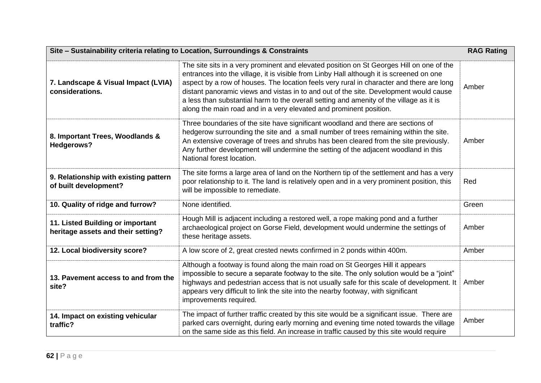| Site - Sustainability criteria relating to Location, Surroundings & Constraints |                                                                                                                                                                                                                                                                                                                                                                                                                                                                                                                                            |       |
|---------------------------------------------------------------------------------|--------------------------------------------------------------------------------------------------------------------------------------------------------------------------------------------------------------------------------------------------------------------------------------------------------------------------------------------------------------------------------------------------------------------------------------------------------------------------------------------------------------------------------------------|-------|
| 7. Landscape & Visual Impact (LVIA)<br>considerations.                          | The site sits in a very prominent and elevated position on St Georges Hill on one of the<br>entrances into the village, it is visible from Linby Hall although it is screened on one<br>aspect by a row of houses. The location feels very rural in character and there are long<br>distant panoramic views and vistas in to and out of the site. Development would cause<br>a less than substantial harm to the overall setting and amenity of the village as it is<br>along the main road and in a very elevated and prominent position. | Amber |
| 8. Important Trees, Woodlands &<br><b>Hedgerows?</b>                            | Three boundaries of the site have significant woodland and there are sections of<br>hedgerow surrounding the site and a small number of trees remaining within the site.<br>An extensive coverage of trees and shrubs has been cleared from the site previously.<br>Any further development will undermine the setting of the adjacent woodland in this<br>National forest location.                                                                                                                                                       | Amber |
| 9. Relationship with existing pattern<br>of built development?                  | The site forms a large area of land on the Northern tip of the settlement and has a very<br>poor relationship to it. The land is relatively open and in a very prominent position, this<br>will be impossible to remediate.                                                                                                                                                                                                                                                                                                                | Red   |
| 10. Quality of ridge and furrow?                                                | None identified.                                                                                                                                                                                                                                                                                                                                                                                                                                                                                                                           | Green |
| 11. Listed Building or important<br>heritage assets and their setting?          | Hough Mill is adjacent including a restored well, a rope making pond and a further<br>archaeological project on Gorse Field, development would undermine the settings of<br>these heritage assets.                                                                                                                                                                                                                                                                                                                                         | Amber |
| 12. Local biodiversity score?                                                   | A low score of 2, great crested newts confirmed in 2 ponds within 400m.                                                                                                                                                                                                                                                                                                                                                                                                                                                                    | Amber |
| 13. Pavement access to and from the<br>site?                                    | Although a footway is found along the main road on St Georges Hill it appears<br>impossible to secure a separate footway to the site. The only solution would be a "joint"<br>highways and pedestrian access that is not usually safe for this scale of development. It<br>appears very difficult to link the site into the nearby footway, with significant<br>improvements required.                                                                                                                                                     | Amber |
| 14. Impact on existing vehicular<br>traffic?                                    | The impact of further traffic created by this site would be a significant issue. There are<br>parked cars overnight, during early morning and evening time noted towards the village<br>on the same side as this field. An increase in traffic caused by this site would require                                                                                                                                                                                                                                                           | Amber |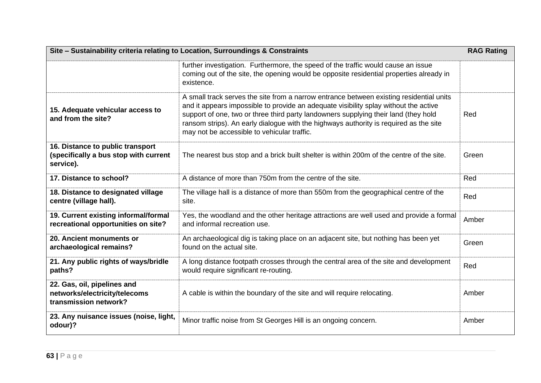| Site - Sustainability criteria relating to Location, Surroundings & Constraints        |                                                                                                                                                                                                                                                                                                                                                                                                                |       |
|----------------------------------------------------------------------------------------|----------------------------------------------------------------------------------------------------------------------------------------------------------------------------------------------------------------------------------------------------------------------------------------------------------------------------------------------------------------------------------------------------------------|-------|
|                                                                                        | further investigation. Furthermore, the speed of the traffic would cause an issue<br>coming out of the site, the opening would be opposite residential properties already in<br>existence.                                                                                                                                                                                                                     |       |
| 15. Adequate vehicular access to<br>and from the site?                                 | A small track serves the site from a narrow entrance between existing residential units<br>and it appears impossible to provide an adequate visibility splay without the active<br>support of one, two or three third party landowners supplying their land (they hold<br>ransom strips). An early dialogue with the highways authority is required as the site<br>may not be accessible to vehicular traffic. | Red   |
| 16. Distance to public transport<br>(specifically a bus stop with current<br>service). | The nearest bus stop and a brick built shelter is within 200m of the centre of the site.                                                                                                                                                                                                                                                                                                                       | Green |
| 17. Distance to school?                                                                | A distance of more than 750m from the centre of the site.                                                                                                                                                                                                                                                                                                                                                      | Red   |
| 18. Distance to designated village<br>centre (village hall).                           | The village hall is a distance of more than 550m from the geographical centre of the<br>site.                                                                                                                                                                                                                                                                                                                  | Red   |
| 19. Current existing informal/formal<br>recreational opportunities on site?            | Yes, the woodland and the other heritage attractions are well used and provide a formal<br>and informal recreation use.                                                                                                                                                                                                                                                                                        | Amber |
| 20. Ancient monuments or<br>archaeological remains?                                    | An archaeological dig is taking place on an adjacent site, but nothing has been yet<br>found on the actual site.                                                                                                                                                                                                                                                                                               | Green |
| 21. Any public rights of ways/bridle<br>paths?                                         | A long distance footpath crosses through the central area of the site and development<br>would require significant re-routing.                                                                                                                                                                                                                                                                                 | Red   |
| 22. Gas, oil, pipelines and<br>networks/electricity/telecoms<br>transmission network?  | A cable is within the boundary of the site and will require relocating.                                                                                                                                                                                                                                                                                                                                        | Amber |
| 23. Any nuisance issues (noise, light,<br>odour)?                                      | Minor traffic noise from St Georges Hill is an ongoing concern.                                                                                                                                                                                                                                                                                                                                                | Amber |